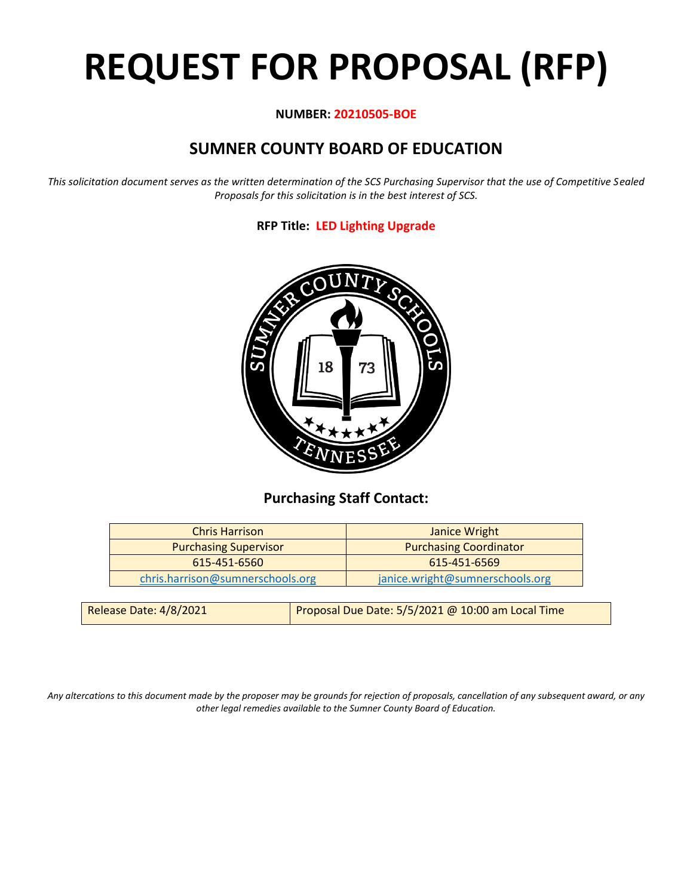# **REQUEST FOR PROPOSAL (RFP)**

# **NUMBER: 20210505-BOE**

# **SUMNER COUNTY BOARD OF EDUCATION**

*This solicitation document serves as the written determination of the SCS Purchasing Supervisor that the use of Competitive Sealed Proposals for this solicitation is in the best interest of SCS.*

# **RFP Title: LED Lighting Upgrade**



# **Purchasing Staff Contact:**

| <b>Chris Harrison</b>            | Janice Wright                   |
|----------------------------------|---------------------------------|
| <b>Purchasing Supervisor</b>     | <b>Purchasing Coordinator</b>   |
| 615-451-6560                     | 615-451-6569                    |
| chris.harrison@sumnerschools.org | janice.wright@sumnerschools.org |
|                                  |                                 |

| Release Date: 4/8/2021 | Proposal Due Date: 5/5/2021 @ 10:00 am Local Time |
|------------------------|---------------------------------------------------|
|                        |                                                   |

*Any altercations to this document made by the proposer may be grounds for rejection of proposals, cancellation of any subsequent award, or any other legal remedies available to the Sumner County Board of Education.*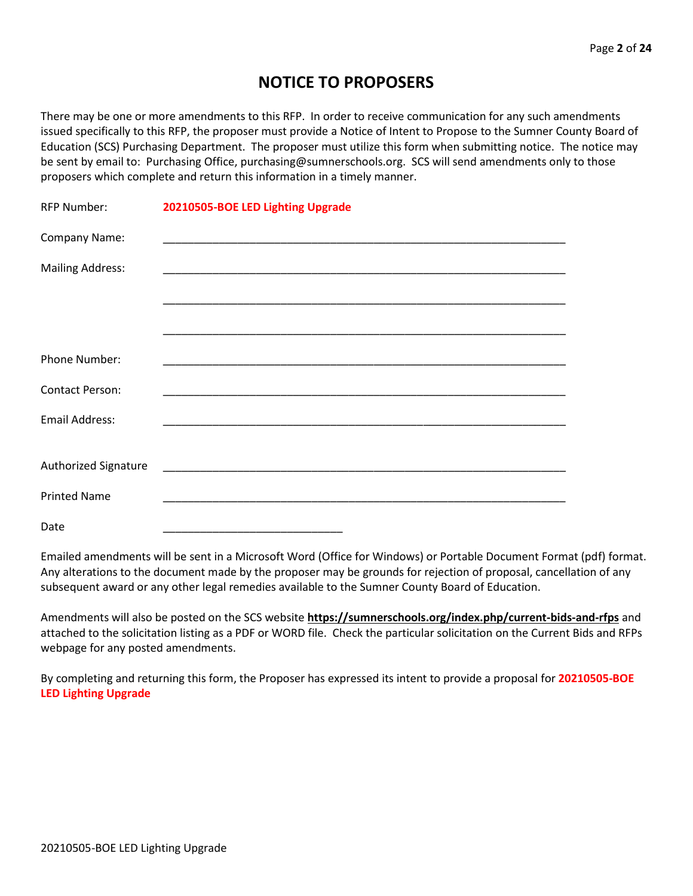# **NOTICE TO PROPOSERS**

There may be one or more amendments to this RFP. In order to receive communication for any such amendments issued specifically to this RFP, the proposer must provide a Notice of Intent to Propose to the Sumner County Board of Education (SCS) Purchasing Department. The proposer must utilize this form when submitting notice. The notice may be sent by email to: Purchasing Office, purchasing@sumnerschools.org. SCS will send amendments only to those proposers which complete and return this information in a timely manner.

| <b>RFP Number:</b>      | 20210505-BOE LED Lighting Upgrade                                                                                    |
|-------------------------|----------------------------------------------------------------------------------------------------------------------|
| Company Name:           |                                                                                                                      |
| <b>Mailing Address:</b> |                                                                                                                      |
|                         |                                                                                                                      |
|                         |                                                                                                                      |
| Phone Number:           |                                                                                                                      |
| <b>Contact Person:</b>  |                                                                                                                      |
| Email Address:          |                                                                                                                      |
| Authorized Signature    |                                                                                                                      |
|                         | <u> 2000 - Johann John Stone, mars and de la provincia de la provincia de la provincia de la provincia de la pro</u> |
| <b>Printed Name</b>     |                                                                                                                      |
| Date                    |                                                                                                                      |

Emailed amendments will be sent in a Microsoft Word (Office for Windows) or Portable Document Format (pdf) format. Any alterations to the document made by the proposer may be grounds for rejection of proposal, cancellation of any subsequent award or any other legal remedies available to the Sumner County Board of Education.

Amendments will also be posted on the SCS website **https://sumnerschools.org/index.php/current-bids-and-rfps** and attached to the solicitation listing as a PDF or WORD file. Check the particular solicitation on the Current Bids and RFPs webpage for any posted amendments.

By completing and returning this form, the Proposer has expressed its intent to provide a proposal for **20210505-BOE LED Lighting Upgrade**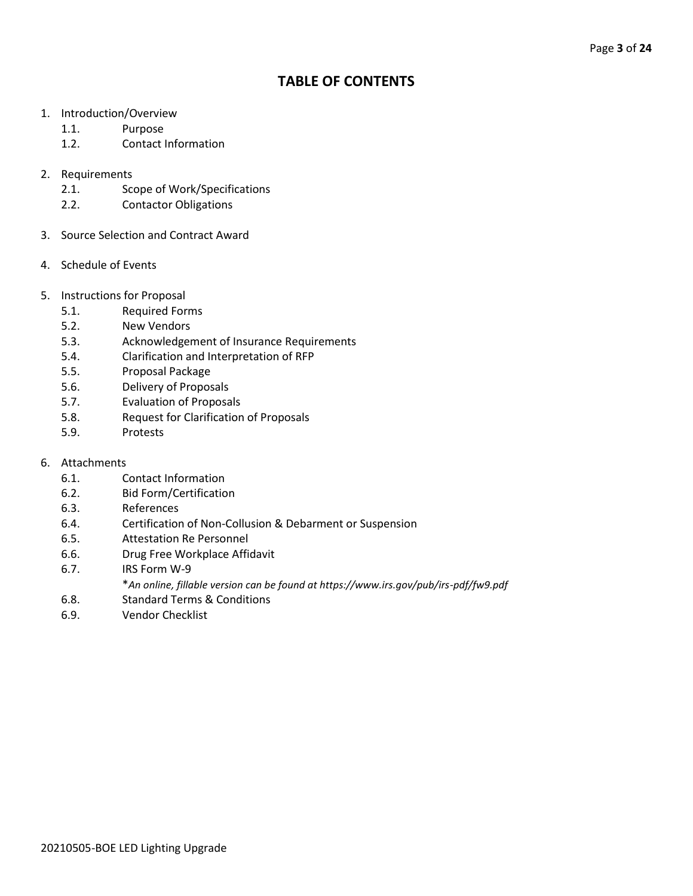# **TABLE OF CONTENTS**

- 1. Introduction/Overview
	- 1.1. Purpose
	- 1.2. Contact Information
- 2. Requirements
	- 2.1. Scope of Work/Specifications
	- 2.2. Contactor Obligations
- 3. Source Selection and Contract Award
- 4. Schedule of Events
- 5. Instructions for Proposal
	- 5.1. Required Forms
	- 5.2. New Vendors
	- 5.3. Acknowledgement of Insurance Requirements
	- 5.4. Clarification and Interpretation of RFP
	- 5.5. Proposal Package
	- 5.6. Delivery of Proposals
	- 5.7. Evaluation of Proposals
	- 5.8. Request for Clarification of Proposals
	- 5.9. Protests
- 6. Attachments
	- 6.1. Contact Information
	- 6.2. Bid Form/Certification
	- 6.3. References
	- 6.4. Certification of Non-Collusion & Debarment or Suspension
	- 6.5. Attestation Re Personnel
	- 6.6. Drug Free Workplace Affidavit
	- 6.7. IRS Form W-9
		- \**An online, fillable version can be found at https://www.irs.gov/pub/irs-pdf/fw9.pdf*
	- 6.8. Standard Terms & Conditions
	- 6.9. Vendor Checklist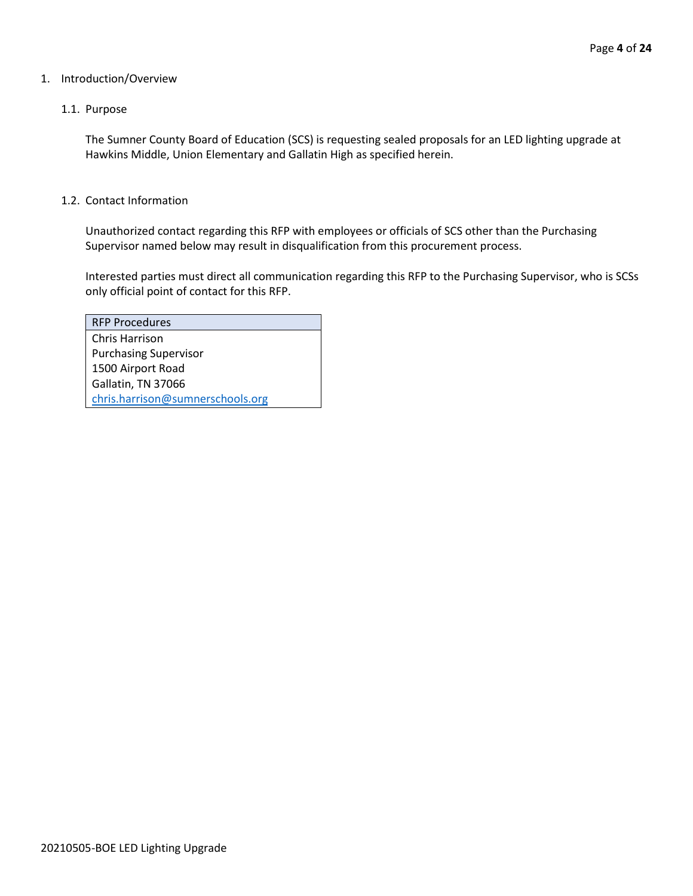#### 1. Introduction/Overview

#### 1.1. Purpose

The Sumner County Board of Education (SCS) is requesting sealed proposals for an LED lighting upgrade at Hawkins Middle, Union Elementary and Gallatin High as specified herein.

#### 1.2. Contact Information

Unauthorized contact regarding this RFP with employees or officials of SCS other than the Purchasing Supervisor named below may result in disqualification from this procurement process.

Interested parties must direct all communication regarding this RFP to the Purchasing Supervisor, who is SCSs only official point of contact for this RFP.

| <b>RFP Procedures</b>            |
|----------------------------------|
| Chris Harrison                   |
| <b>Purchasing Supervisor</b>     |
| 1500 Airport Road                |
| Gallatin, TN 37066               |
| chris.harrison@sumnerschools.org |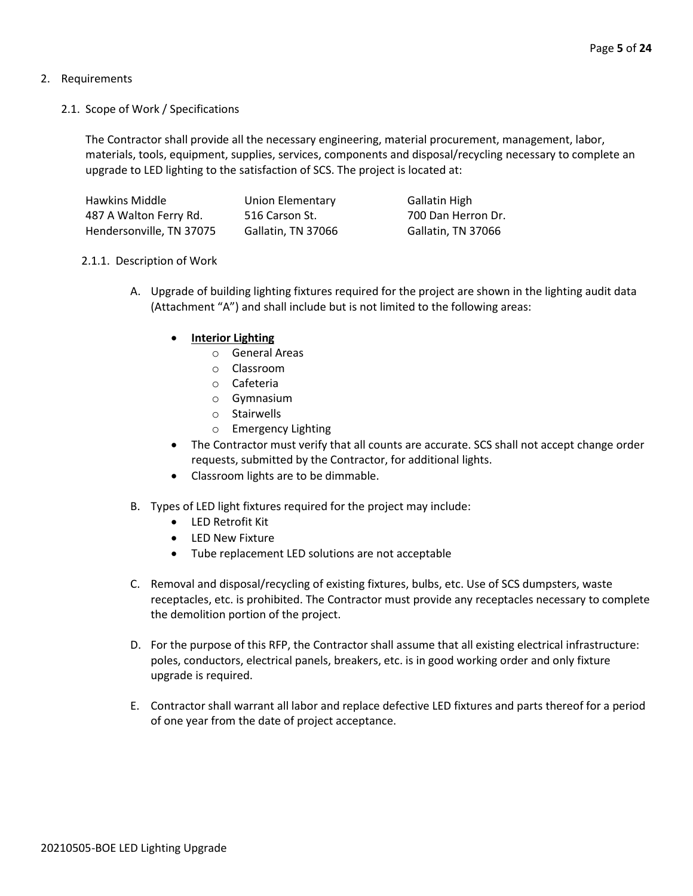# 2. Requirements

2.1. Scope of Work / Specifications

The Contractor shall provide all the necessary engineering, material procurement, management, labor, materials, tools, equipment, supplies, services, components and disposal/recycling necessary to complete an upgrade to LED lighting to the satisfaction of SCS. The project is located at:

| Hawkins Middle           | Union Elementary   | <b>Gallatin High</b> |
|--------------------------|--------------------|----------------------|
| 487 A Walton Ferry Rd.   | 516 Carson St.     | 700 Dan Herron Dr.   |
| Hendersonville, TN 37075 | Gallatin, TN 37066 | Gallatin, TN 37066   |

# 2.1.1. Description of Work

- A. Upgrade of building lighting fixtures required for the project are shown in the lighting audit data (Attachment "A") and shall include but is not limited to the following areas:
	- **Interior Lighting** 
		- o General Areas
		- o Classroom
		- o Cafeteria
		- o Gymnasium
		- o Stairwells
		- o Emergency Lighting
	- The Contractor must verify that all counts are accurate. SCS shall not accept change order requests, submitted by the Contractor, for additional lights.
	- Classroom lights are to be dimmable.
- B. Types of LED light fixtures required for the project may include:
	- LED Retrofit Kit
	- LED New Fixture
	- Tube replacement LED solutions are not acceptable
- C. Removal and disposal/recycling of existing fixtures, bulbs, etc. Use of SCS dumpsters, waste receptacles, etc. is prohibited. The Contractor must provide any receptacles necessary to complete the demolition portion of the project.
- D. For the purpose of this RFP, the Contractor shall assume that all existing electrical infrastructure: poles, conductors, electrical panels, breakers, etc. is in good working order and only fixture upgrade is required.
- E. Contractor shall warrant all labor and replace defective LED fixtures and parts thereof for a period of one year from the date of project acceptance.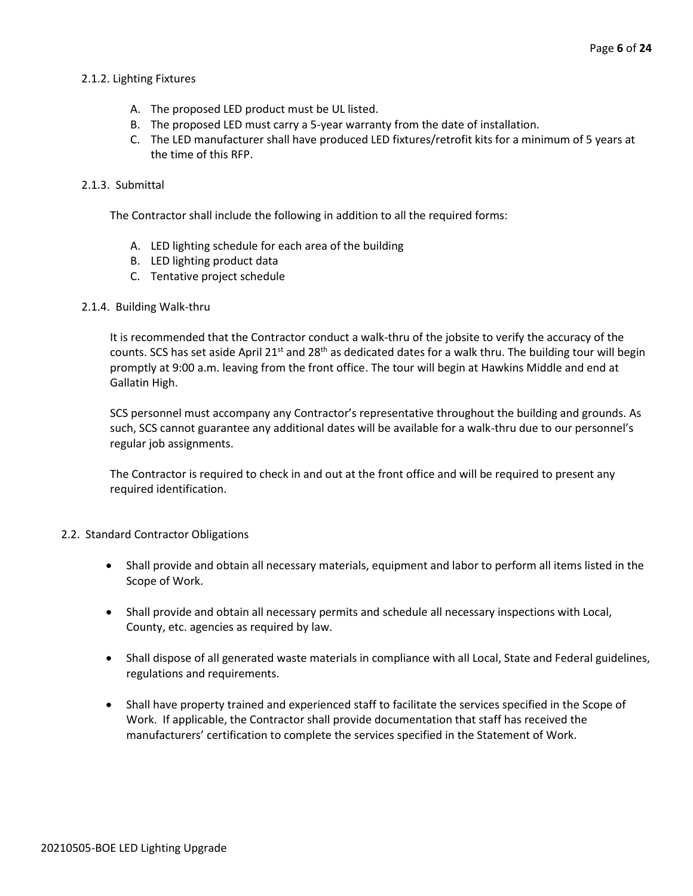## 2.1.2. Lighting Fixtures

- A. The proposed LED product must be UL listed.
- B. The proposed LED must carry a 5-year warranty from the date of installation.
- C. The LED manufacturer shall have produced LED fixtures/retrofit kits for a minimum of 5 years at the time of this RFP.

## 2.1.3. Submittal

The Contractor shall include the following in addition to all the required forms:

- A. LED lighting schedule for each area of the building
- B. LED lighting product data
- C. Tentative project schedule

#### 2.1.4. Building Walk-thru

It is recommended that the Contractor conduct a walk-thru of the jobsite to verify the accuracy of the counts. SCS has set aside April 21<sup>st</sup> and 28<sup>th</sup> as dedicated dates for a walk thru. The building tour will begin promptly at 9:00 a.m. leaving from the front office. The tour will begin at Hawkins Middle and end at Gallatin High.

SCS personnel must accompany any Contractor's representative throughout the building and grounds. As such, SCS cannot guarantee any additional dates will be available for a walk-thru due to our personnel's regular job assignments.

The Contractor is required to check in and out at the front office and will be required to present any required identification.

## 2.2. Standard Contractor Obligations

- Shall provide and obtain all necessary materials, equipment and labor to perform all items listed in the Scope of Work.
- Shall provide and obtain all necessary permits and schedule all necessary inspections with Local, County, etc. agencies as required by law.
- Shall dispose of all generated waste materials in compliance with all Local, State and Federal guidelines, regulations and requirements.
- Shall have property trained and experienced staff to facilitate the services specified in the Scope of Work. If applicable, the Contractor shall provide documentation that staff has received the manufacturers' certification to complete the services specified in the Statement of Work.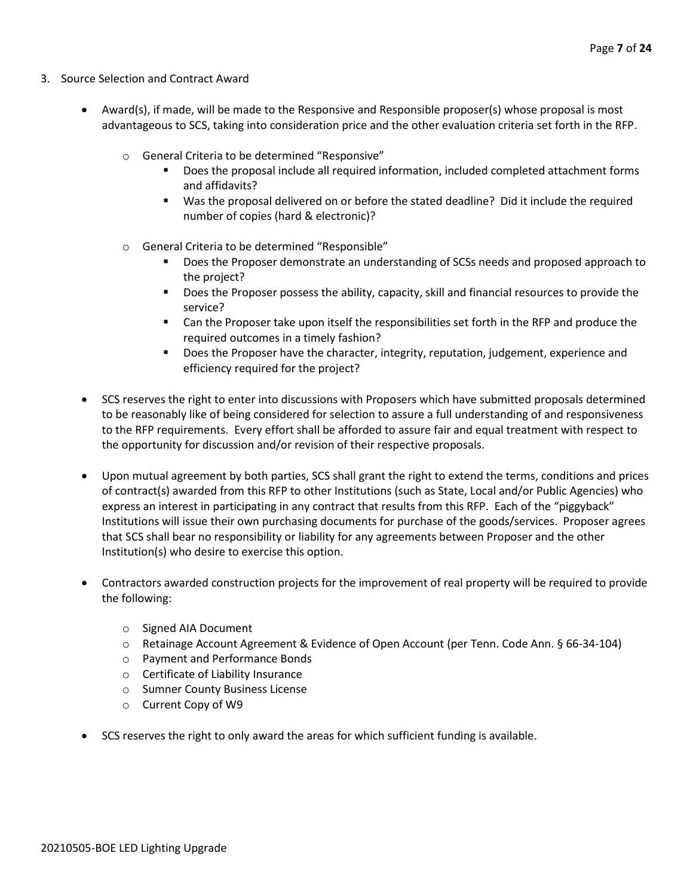- 3. Source Selection and Contract Award
	- Award(s), if made, will be made to the Responsive and Responsible proposer(s) whose proposal is most advantageous to SCS, taking into consideration price and the other evaluation criteria set forth in the RFP.
		- o General Criteria to be determined "Responsive"
			- Does the proposal include all required information, included completed attachment forms and affidavits?
			- Was the proposal delivered on or before the stated deadline? Did it include the required number of copies (hard & electronic)?
		- o General Criteria to be determined "Responsible"
			- Does the Proposer demonstrate an understanding of SCSs needs and proposed approach to the project?
			- Does the Proposer possess the ability, capacity, skill and financial resources to provide the service?
			- Can the Proposer take upon itself the responsibilities set forth in the RFP and produce the required outcomes in a timely fashion?
			- **■** Does the Proposer have the character, integrity, reputation, judgement, experience and efficiency required for the project?
	- SCS reserves the right to enter into discussions with Proposers which have submitted proposals determined to be reasonably like of being considered for selection to assure a full understanding of and responsiveness to the RFP requirements. Every effort shall be afforded to assure fair and equal treatment with respect to the opportunity for discussion and/or revision of their respective proposals.
	- Upon mutual agreement by both parties, SCS shall grant the right to extend the terms, conditions and prices of contract(s) awarded from this RFP to other Institutions (such as State, Local and/or Public Agencies) who express an interest in participating in any contract that results from this RFP. Each of the "piggyback" Institutions will issue their own purchasing documents for purchase of the goods/services. Proposer agrees that SCS shall bear no responsibility or liability for any agreements between Proposer and the other Institution(s) who desire to exercise this option.
	- Contractors awarded construction projects for the improvement of real property will be required to provide the following:
		- o Signed AIA Document
		- o Retainage Account Agreement & Evidence of Open Account (per Tenn. Code Ann. § 66-34-104)
		- o Payment and Performance Bonds
		- o Certificate of Liability Insurance
		- o Sumner County Business License
		- o Current Copy of W9
	- SCS reserves the right to only award the areas for which sufficient funding is available.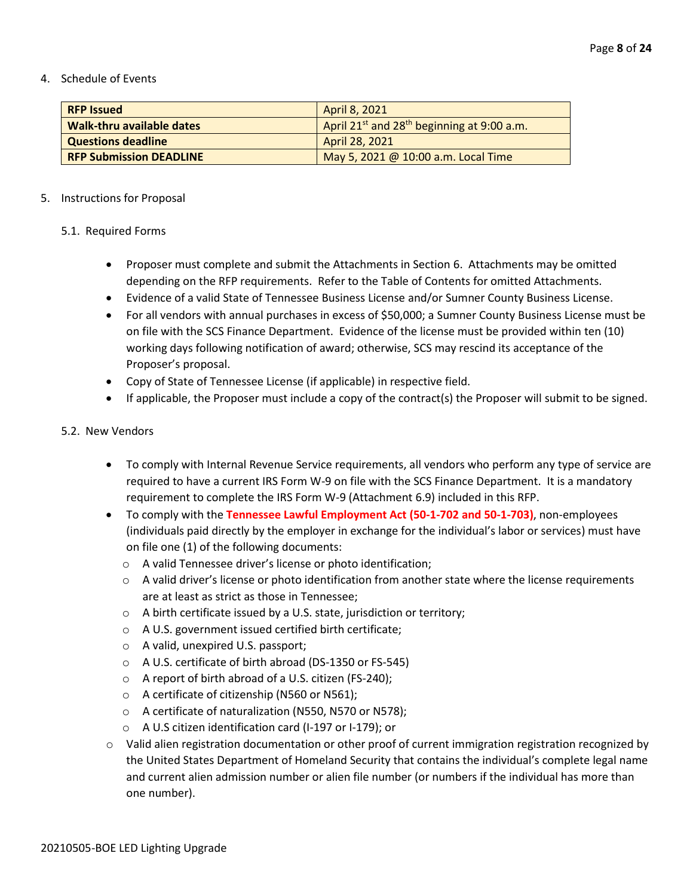#### 4. Schedule of Events

| <b>RFP Issued</b>                | April 8, 2021                                                      |
|----------------------------------|--------------------------------------------------------------------|
| <b>Walk-thru available dates</b> | April 21 <sup>st</sup> and 28 <sup>th</sup> beginning at 9:00 a.m. |
| <b>Questions deadline</b>        | April 28, 2021                                                     |
| <b>RFP Submission DEADLINE</b>   | May 5, 2021 @ 10:00 a.m. Local Time                                |

# 5. Instructions for Proposal

# 5.1. Required Forms

- Proposer must complete and submit the Attachments in Section 6. Attachments may be omitted depending on the RFP requirements. Refer to the Table of Contents for omitted Attachments.
- Evidence of a valid State of Tennessee Business License and/or Sumner County Business License.
- For all vendors with annual purchases in excess of \$50,000; a Sumner County Business License must be on file with the SCS Finance Department. Evidence of the license must be provided within ten (10) working days following notification of award; otherwise, SCS may rescind its acceptance of the Proposer's proposal.
- Copy of State of Tennessee License (if applicable) in respective field.
- If applicable, the Proposer must include a copy of the contract(s) the Proposer will submit to be signed.

# 5.2. New Vendors

- To comply with Internal Revenue Service requirements, all vendors who perform any type of service are required to have a current IRS Form W-9 on file with the SCS Finance Department. It is a mandatory requirement to complete the IRS Form W-9 (Attachment 6.9) included in this RFP.
- To comply with the **Tennessee Lawful Employment Act (50-1-702 and 50-1-703)**, non-employees (individuals paid directly by the employer in exchange for the individual's labor or services) must have on file one (1) of the following documents:
	- o A valid Tennessee driver's license or photo identification;
	- $\circ$  A valid driver's license or photo identification from another state where the license requirements are at least as strict as those in Tennessee;
	- o A birth certificate issued by a U.S. state, jurisdiction or territory;
	- o A U.S. government issued certified birth certificate;
	- o A valid, unexpired U.S. passport;
	- o A U.S. certificate of birth abroad (DS-1350 or FS-545)
	- o A report of birth abroad of a U.S. citizen (FS-240);
	- o A certificate of citizenship (N560 or N561);
	- o A certificate of naturalization (N550, N570 or N578);
	- o A U.S citizen identification card (I-197 or I-179); or
- o Valid alien registration documentation or other proof of current immigration registration recognized by the United States Department of Homeland Security that contains the individual's complete legal name and current alien admission number or alien file number (or numbers if the individual has more than one number).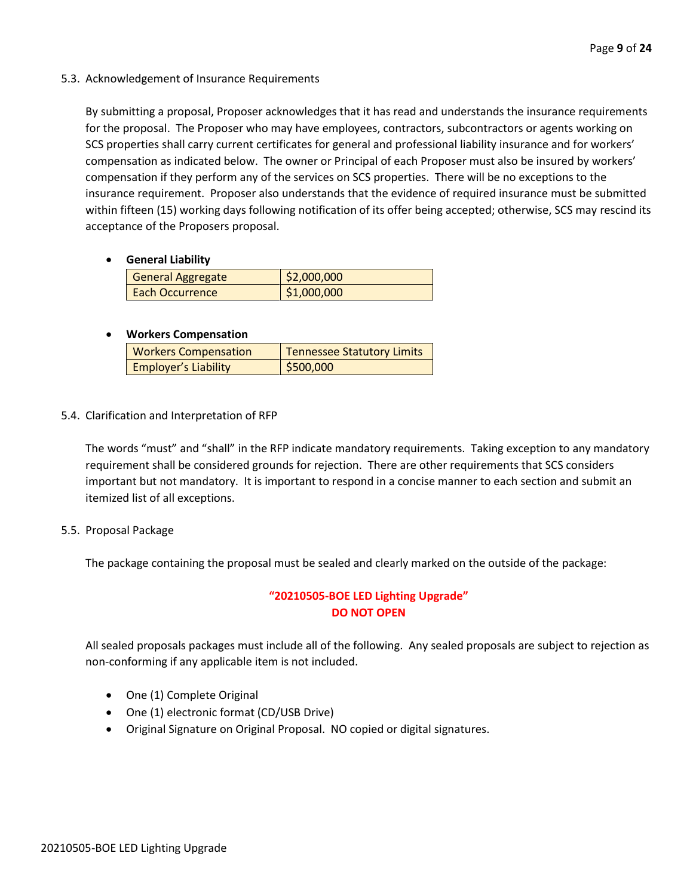## 5.3. Acknowledgement of Insurance Requirements

By submitting a proposal, Proposer acknowledges that it has read and understands the insurance requirements for the proposal. The Proposer who may have employees, contractors, subcontractors or agents working on SCS properties shall carry current certificates for general and professional liability insurance and for workers' compensation as indicated below. The owner or Principal of each Proposer must also be insured by workers' compensation if they perform any of the services on SCS properties. There will be no exceptions to the insurance requirement. Proposer also understands that the evidence of required insurance must be submitted within fifteen (15) working days following notification of its offer being accepted; otherwise, SCS may rescind its acceptance of the Proposers proposal.

## • **General Liability**

| General Aggregate | \$2,000,000 |
|-------------------|-------------|
| Each Occurrence   | \$1,000,000 |

# • **Workers Compensation**

| <b>Workers Compensation</b> | <b>Tennessee Statutory Limits</b> |
|-----------------------------|-----------------------------------|
| <b>Employer's Liability</b> | \$500,000                         |

# 5.4. Clarification and Interpretation of RFP

The words "must" and "shall" in the RFP indicate mandatory requirements. Taking exception to any mandatory requirement shall be considered grounds for rejection. There are other requirements that SCS considers important but not mandatory. It is important to respond in a concise manner to each section and submit an itemized list of all exceptions.

## 5.5. Proposal Package

The package containing the proposal must be sealed and clearly marked on the outside of the package:

# **"20210505-BOE LED Lighting Upgrade" DO NOT OPEN**

All sealed proposals packages must include all of the following. Any sealed proposals are subject to rejection as non-conforming if any applicable item is not included.

- One (1) Complete Original
- One (1) electronic format (CD/USB Drive)
- Original Signature on Original Proposal. NO copied or digital signatures.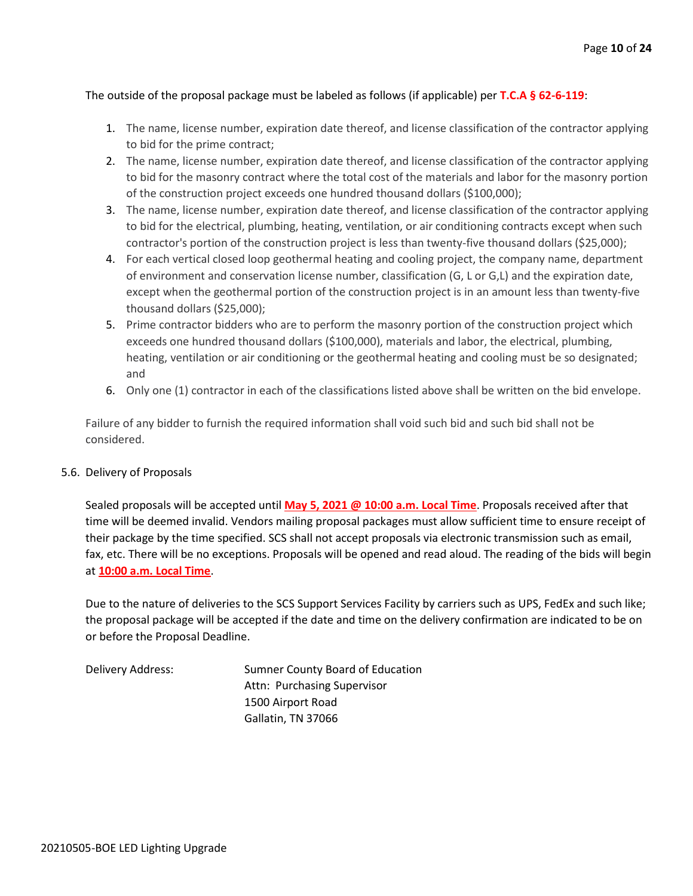## The outside of the proposal package must be labeled as follows (if applicable) per **T.C.A § 62-6-119**:

- 1. The name, license number, expiration date thereof, and license classification of the contractor applying to bid for the prime contract;
- 2. The name, license number, expiration date thereof, and license classification of the contractor applying to bid for the masonry contract where the total cost of the materials and labor for the masonry portion of the construction project exceeds one hundred thousand dollars (\$100,000);
- 3. The name, license number, expiration date thereof, and license classification of the contractor applying to bid for the electrical, plumbing, heating, ventilation, or air conditioning contracts except when such contractor's portion of the construction project is less than twenty-five thousand dollars (\$25,000);
- 4. For each vertical closed loop geothermal heating and cooling project, the company name, department of environment and conservation license number, classification (G, L or G,L) and the expiration date, except when the geothermal portion of the construction project is in an amount less than twenty-five thousand dollars (\$25,000);
- 5. Prime contractor bidders who are to perform the masonry portion of the construction project which exceeds one hundred thousand dollars (\$100,000), materials and labor, the electrical, plumbing, heating, ventilation or air conditioning or the geothermal heating and cooling must be so designated; and
- 6. Only one (1) contractor in each of the classifications listed above shall be written on the bid envelope.

Failure of any bidder to furnish the required information shall void such bid and such bid shall not be considered.

## 5.6. Delivery of Proposals

Sealed proposals will be accepted until **May 5, 2021 @ 10:00 a.m. Local Time**. Proposals received after that time will be deemed invalid. Vendors mailing proposal packages must allow sufficient time to ensure receipt of their package by the time specified. SCS shall not accept proposals via electronic transmission such as email, fax, etc. There will be no exceptions. Proposals will be opened and read aloud. The reading of the bids will begin at **10:00 a.m. Local Time**.

Due to the nature of deliveries to the SCS Support Services Facility by carriers such as UPS, FedEx and such like; the proposal package will be accepted if the date and time on the delivery confirmation are indicated to be on or before the Proposal Deadline.

Delivery Address: Sumner County Board of Education Attn: Purchasing Supervisor 1500 Airport Road Gallatin, TN 37066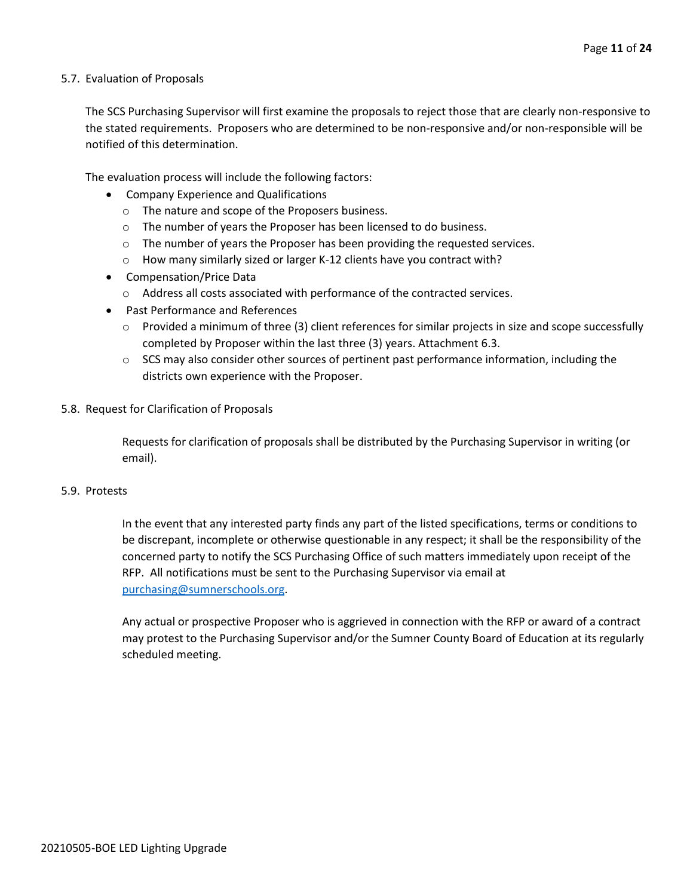#### 5.7. Evaluation of Proposals

The SCS Purchasing Supervisor will first examine the proposals to reject those that are clearly non-responsive to the stated requirements. Proposers who are determined to be non-responsive and/or non-responsible will be notified of this determination.

The evaluation process will include the following factors:

- Company Experience and Qualifications
	- o The nature and scope of the Proposers business.
	- $\circ$  The number of years the Proposer has been licensed to do business.
	- $\circ$  The number of years the Proposer has been providing the requested services.
	- o How many similarly sized or larger K-12 clients have you contract with?
- Compensation/Price Data
	- o Address all costs associated with performance of the contracted services.
- Past Performance and References
	- $\circ$  Provided a minimum of three (3) client references for similar projects in size and scope successfully completed by Proposer within the last three (3) years. Attachment 6.3.
	- $\circ$  SCS may also consider other sources of pertinent past performance information, including the districts own experience with the Proposer.
- 5.8. Request for Clarification of Proposals

Requests for clarification of proposals shall be distributed by the Purchasing Supervisor in writing (or email).

#### 5.9. Protests

In the event that any interested party finds any part of the listed specifications, terms or conditions to be discrepant, incomplete or otherwise questionable in any respect; it shall be the responsibility of the concerned party to notify the SCS Purchasing Office of such matters immediately upon receipt of the RFP. All notifications must be sent to the Purchasing Supervisor via email at [purchasing@sumnerschools.org.](mailto:purchasing@sumnerschools.org)

Any actual or prospective Proposer who is aggrieved in connection with the RFP or award of a contract may protest to the Purchasing Supervisor and/or the Sumner County Board of Education at its regularly scheduled meeting.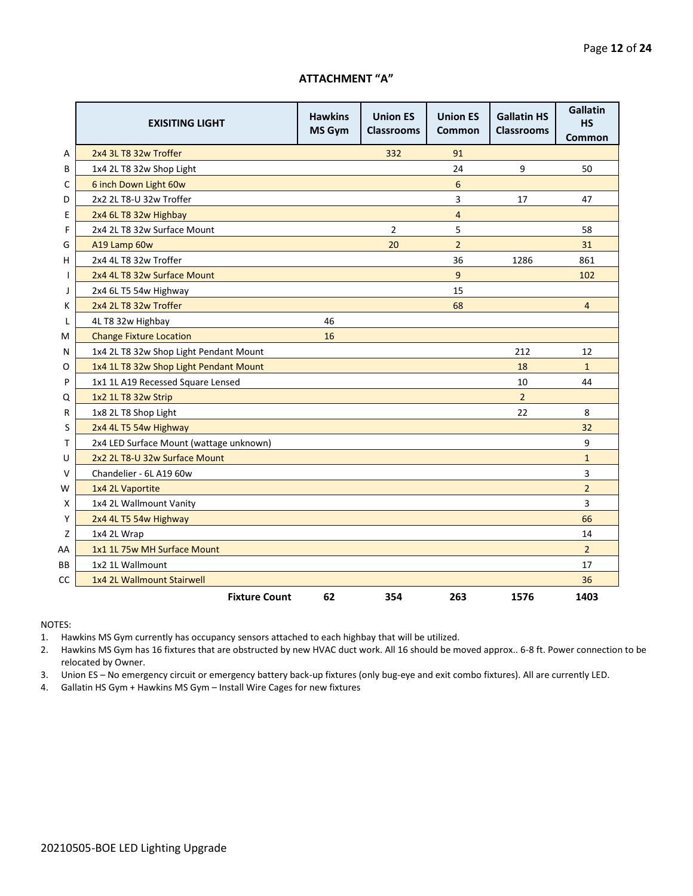#### **ATTACHMENT "A"**

|    | <b>EXISITING LIGHT</b>                  | <b>Hawkins</b><br>MS Gym | <b>Union ES</b><br><b>Classrooms</b> | <b>Union ES</b><br>Common | <b>Gallatin HS</b><br><b>Classrooms</b> | Gallatin<br><b>HS</b><br>Common |
|----|-----------------------------------------|--------------------------|--------------------------------------|---------------------------|-----------------------------------------|---------------------------------|
| Α  | 2x4 3L T8 32w Troffer                   |                          | 332                                  | 91                        |                                         |                                 |
| B  | 1x4 2L T8 32w Shop Light                |                          |                                      | 24                        | 9                                       | 50                              |
| C  | 6 inch Down Light 60w                   |                          |                                      | 6                         |                                         |                                 |
| D  | 2x2 2L T8-U 32w Troffer                 |                          |                                      | 3                         | 17                                      | 47                              |
| Ε  | 2x4 6L T8 32w Highbay                   |                          |                                      | 4                         |                                         |                                 |
| F  | 2x4 2L T8 32w Surface Mount             |                          | $\overline{2}$                       | 5                         |                                         | 58                              |
| G  | A19 Lamp 60w                            |                          | 20                                   | $\overline{2}$            |                                         | 31                              |
| н  | 2x4 4L T8 32w Troffer                   |                          |                                      | 36                        | 1286                                    | 861                             |
| I. | 2x4 4L T8 32w Surface Mount             |                          |                                      | 9                         |                                         | 102                             |
| J  | 2x4 6L T5 54w Highway                   |                          |                                      | 15                        |                                         |                                 |
| Κ  | 2x4 2L T8 32w Troffer                   |                          |                                      | 68                        |                                         | $\overline{4}$                  |
| L  | 4L T8 32w Highbay                       | 46                       |                                      |                           |                                         |                                 |
| M  | <b>Change Fixture Location</b>          | 16                       |                                      |                           |                                         |                                 |
| N  | 1x4 2L T8 32w Shop Light Pendant Mount  |                          |                                      |                           | 212                                     | 12                              |
| O  | 1x4 1L T8 32w Shop Light Pendant Mount  |                          |                                      |                           | 18                                      | $\mathbf{1}$                    |
| P  | 1x1 1L A19 Recessed Square Lensed       |                          |                                      |                           | 10                                      | 44                              |
| Q  | 1x2 1L T8 32w Strip                     |                          |                                      |                           | $\overline{2}$                          |                                 |
| R  | 1x8 2L T8 Shop Light                    |                          |                                      |                           | 22                                      | 8                               |
| S  | 2x4 4L T5 54w Highway                   |                          |                                      |                           |                                         | 32                              |
| т  | 2x4 LED Surface Mount (wattage unknown) |                          |                                      |                           |                                         | 9                               |
| U  | 2x2 2L T8-U 32w Surface Mount           |                          |                                      |                           |                                         | $\mathbf{1}$                    |
| v  | Chandelier - 6L A19 60w                 |                          |                                      |                           |                                         | 3                               |
| w  | 1x4 2L Vaportite                        |                          |                                      |                           |                                         | $\overline{2}$                  |
| х  | 1x4 2L Wallmount Vanity                 |                          |                                      |                           |                                         | 3                               |
| Υ  | 2x4 4L T5 54w Highway                   |                          |                                      |                           |                                         | 66                              |
| Z  | 1x4 2L Wrap                             |                          |                                      |                           |                                         | 14                              |
| AA | 1x1 1L 75w MH Surface Mount             |                          |                                      |                           |                                         | $\overline{2}$                  |
| BВ | 1x2 1L Wallmount                        |                          |                                      |                           |                                         | 17                              |
| СC | 1x4 2L Wallmount Stairwell              |                          |                                      |                           |                                         | 36                              |
|    | <b>Fixture Count</b>                    | 62                       | 354                                  | 263                       | 1576                                    | 1403                            |

NOTES:

1. Hawkins MS Gym currently has occupancy sensors attached to each highbay that will be utilized.

2. Hawkins MS Gym has 16 fixtures that are obstructed by new HVAC duct work. All 16 should be moved approx.. 6-8 ft. Power connection to be relocated by Owner.

3. Union ES – No emergency circuit or emergency battery back-up fixtures (only bug-eye and exit combo fixtures). All are currently LED.

4. Gallatin HS Gym + Hawkins MS Gym – Install Wire Cages for new fixtures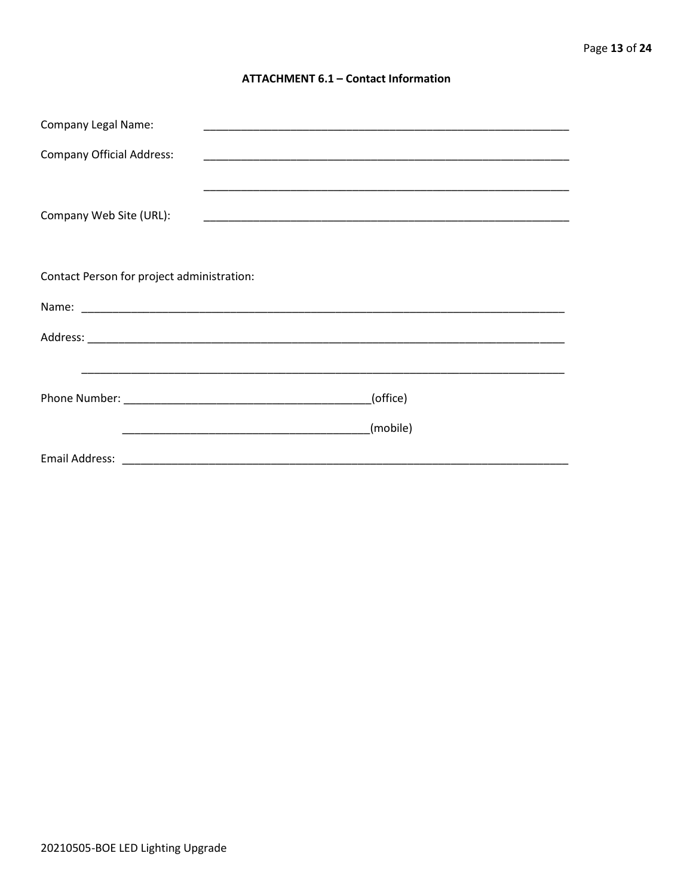#### **ATTACHMENT 6.1 - Contact Information**

| <b>Company Legal Name:</b>                 |          |
|--------------------------------------------|----------|
| <b>Company Official Address:</b>           |          |
|                                            |          |
| Company Web Site (URL):                    |          |
|                                            |          |
|                                            |          |
| Contact Person for project administration: |          |
|                                            |          |
|                                            |          |
|                                            |          |
|                                            | (office) |
|                                            |          |
|                                            | (mobile) |
|                                            |          |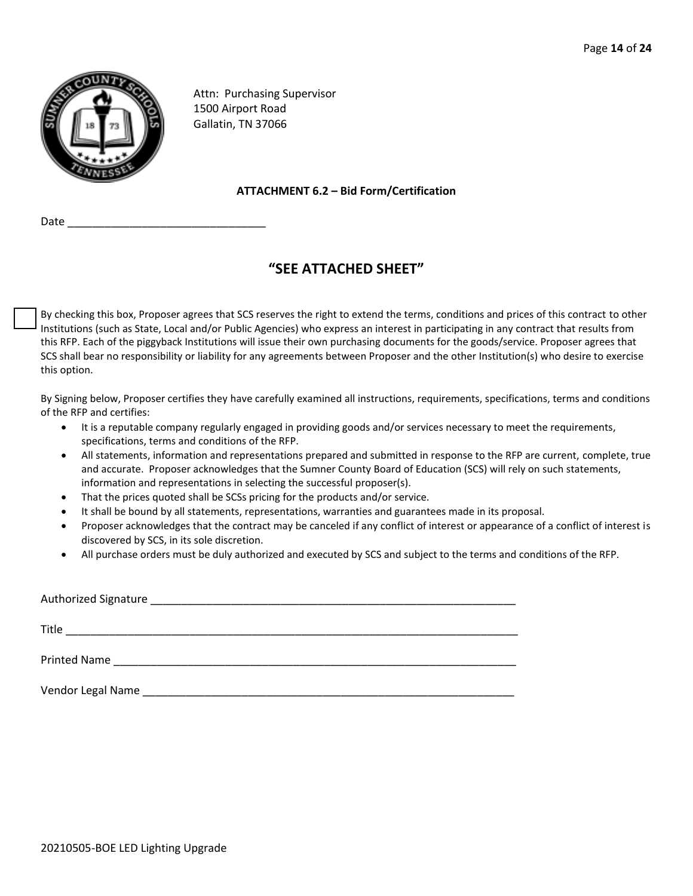

Attn: Purchasing Supervisor 1500 Airport Road Gallatin, TN 37066

#### **ATTACHMENT 6.2 – Bid Form/Certification**

Date \_\_\_\_\_\_\_\_\_\_\_\_\_\_\_\_\_\_\_\_\_\_\_\_\_\_\_\_\_\_\_\_

# **"SEE ATTACHED SHEET"**

By checking this box, Proposer agrees that SCS reserves the right to extend the terms, conditions and prices of this contract to other Institutions (such as State, Local and/or Public Agencies) who express an interest in participating in any contract that results from this RFP. Each of the piggyback Institutions will issue their own purchasing documents for the goods/service. Proposer agrees that SCS shall bear no responsibility or liability for any agreements between Proposer and the other Institution(s) who desire to exercise this option.

By Signing below, Proposer certifies they have carefully examined all instructions, requirements, specifications, terms and conditions of the RFP and certifies:

- It is a reputable company regularly engaged in providing goods and/or services necessary to meet the requirements, specifications, terms and conditions of the RFP.
- All statements, information and representations prepared and submitted in response to the RFP are current, complete, true and accurate. Proposer acknowledges that the Sumner County Board of Education (SCS) will rely on such statements, information and representations in selecting the successful proposer(s).
- That the prices quoted shall be SCSs pricing for the products and/or service.
- It shall be bound by all statements, representations, warranties and guarantees made in its proposal.
- Proposer acknowledges that the contract may be canceled if any conflict of interest or appearance of a conflict of interest is discovered by SCS, in its sole discretion.
- All purchase orders must be duly authorized and executed by SCS and subject to the terms and conditions of the RFP.

| Title               | <u> 1989 - Johann John Stone, markin film yn y brening yn y brening yn y brening yn y brening yn y brening yn y b</u> |  |
|---------------------|-----------------------------------------------------------------------------------------------------------------------|--|
| <b>Printed Name</b> | <u> 1980 - Jan Barbarat, margaret amerikan ba</u>                                                                     |  |
| Vendor Legal Name   |                                                                                                                       |  |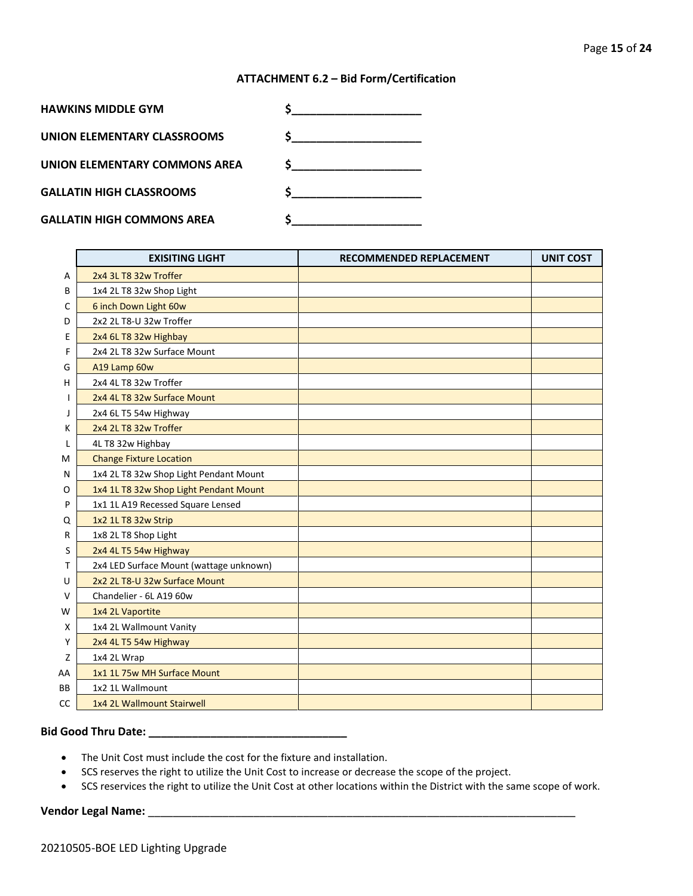#### **ATTACHMENT 6.2 – Bid Form/Certification**

| <b>HAWKINS MIDDLE GYM</b>         |  |
|-----------------------------------|--|
| UNION ELEMENTARY CLASSROOMS       |  |
| UNION ELEMENTARY COMMONS AREA     |  |
| <b>GALLATIN HIGH CLASSROOMS</b>   |  |
|                                   |  |
| <b>GALLATIN HIGH COMMONS AREA</b> |  |

|    | <b>EXISITING LIGHT</b>                  | <b>RECOMMENDED REPLACEMENT</b> | <b>UNIT COST</b> |
|----|-----------------------------------------|--------------------------------|------------------|
| A  | 2x4 3L T8 32w Troffer                   |                                |                  |
| B  | 1x4 2L T8 32w Shop Light                |                                |                  |
| С  | 6 inch Down Light 60w                   |                                |                  |
| D  | 2x2 2L T8-U 32w Troffer                 |                                |                  |
| Ε  | 2x4 6L T8 32w Highbay                   |                                |                  |
| F  | 2x4 2L T8 32w Surface Mount             |                                |                  |
| G  | A19 Lamp 60w                            |                                |                  |
| н  | 2x4 4L T8 32w Troffer                   |                                |                  |
| I  | 2x4 4L T8 32w Surface Mount             |                                |                  |
| J  | 2x4 6L T5 54w Highway                   |                                |                  |
| Κ  | 2x4 2L T8 32w Troffer                   |                                |                  |
| L  | 4L T8 32w Highbay                       |                                |                  |
| М  | <b>Change Fixture Location</b>          |                                |                  |
| N  | 1x4 2L T8 32w Shop Light Pendant Mount  |                                |                  |
| O  | 1x4 1L T8 32w Shop Light Pendant Mount  |                                |                  |
| P  | 1x1 1L A19 Recessed Square Lensed       |                                |                  |
| Q  | 1x2 1L T8 32w Strip                     |                                |                  |
| R  | 1x8 2L T8 Shop Light                    |                                |                  |
| S  | 2x4 4L T5 54w Highway                   |                                |                  |
| т  | 2x4 LED Surface Mount (wattage unknown) |                                |                  |
| U  | 2x2 2L T8-U 32w Surface Mount           |                                |                  |
| ۷  | Chandelier - 6L A19 60w                 |                                |                  |
| W  | 1x4 2L Vaportite                        |                                |                  |
| X  | 1x4 2L Wallmount Vanity                 |                                |                  |
| Υ  | 2x4 4L T5 54w Highway                   |                                |                  |
| Z  | 1x4 2L Wrap                             |                                |                  |
| AA | 1x1 1L 75w MH Surface Mount             |                                |                  |
| ВB | 1x2 1L Wallmount                        |                                |                  |
| CC | 1x4 2L Wallmount Stairwell              |                                |                  |

# **Bid Good Thru Date: \_\_\_\_\_\_\_\_\_\_\_\_\_\_\_\_\_\_\_\_\_\_\_\_\_\_\_\_\_\_\_\_**

- The Unit Cost must include the cost for the fixture and installation.
- SCS reserves the right to utilize the Unit Cost to increase or decrease the scope of the project.
- SCS reservices the right to utilize the Unit Cost at other locations within the District with the same scope of work.

# **Vendor Legal Name:** \_\_\_\_\_\_\_\_\_\_\_\_\_\_\_\_\_\_\_\_\_\_\_\_\_\_\_\_\_\_\_\_\_\_\_\_\_\_\_\_\_\_\_\_\_\_\_\_\_\_\_\_\_\_\_\_\_\_\_\_\_\_\_\_\_\_\_\_\_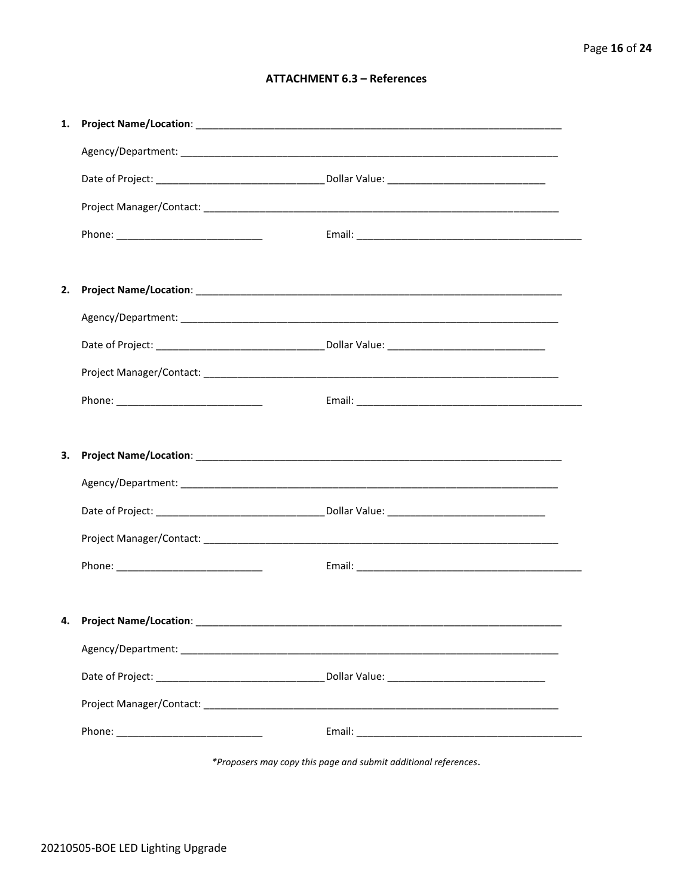# **ATTACHMENT 6.3 - References**

| 1. |                                      |  |
|----|--------------------------------------|--|
|    |                                      |  |
|    |                                      |  |
|    |                                      |  |
|    |                                      |  |
|    |                                      |  |
| 2. |                                      |  |
|    |                                      |  |
|    |                                      |  |
|    |                                      |  |
|    |                                      |  |
|    |                                      |  |
| З. |                                      |  |
|    |                                      |  |
|    |                                      |  |
|    |                                      |  |
|    |                                      |  |
|    |                                      |  |
|    | 4. Project Name/Location: __________ |  |
|    |                                      |  |
|    |                                      |  |
|    |                                      |  |
|    |                                      |  |
|    |                                      |  |

\*Proposers may copy this page and submit additional references.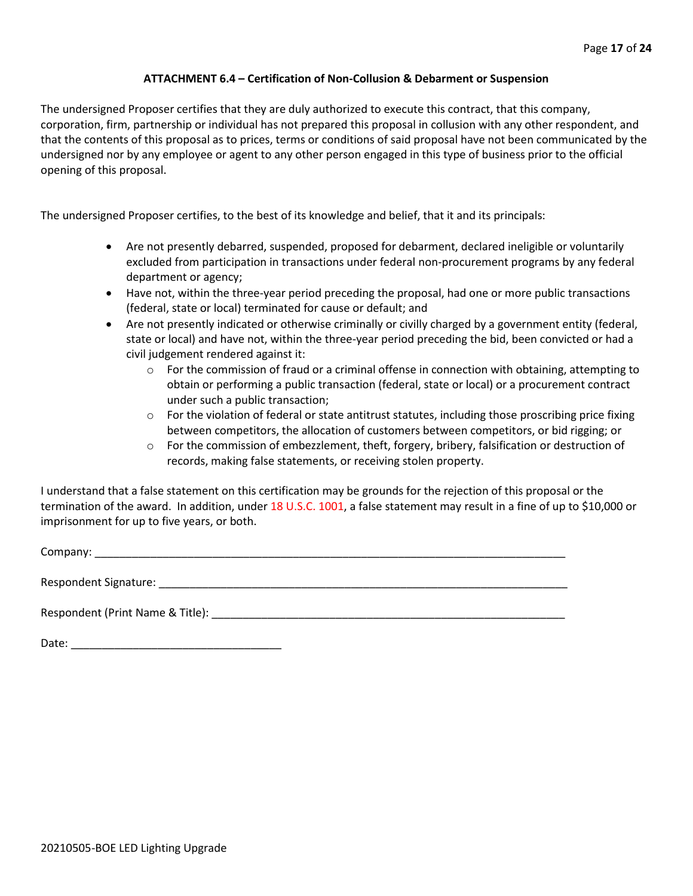## **ATTACHMENT 6.4 – Certification of Non-Collusion & Debarment or Suspension**

The undersigned Proposer certifies that they are duly authorized to execute this contract, that this company, corporation, firm, partnership or individual has not prepared this proposal in collusion with any other respondent, and that the contents of this proposal as to prices, terms or conditions of said proposal have not been communicated by the undersigned nor by any employee or agent to any other person engaged in this type of business prior to the official opening of this proposal.

The undersigned Proposer certifies, to the best of its knowledge and belief, that it and its principals:

- Are not presently debarred, suspended, proposed for debarment, declared ineligible or voluntarily excluded from participation in transactions under federal non-procurement programs by any federal department or agency;
- Have not, within the three-year period preceding the proposal, had one or more public transactions (federal, state or local) terminated for cause or default; and
- Are not presently indicated or otherwise criminally or civilly charged by a government entity (federal, state or local) and have not, within the three-year period preceding the bid, been convicted or had a civil judgement rendered against it:
	- $\circ$  For the commission of fraud or a criminal offense in connection with obtaining, attempting to obtain or performing a public transaction (federal, state or local) or a procurement contract under such a public transaction;
	- $\circ$  For the violation of federal or state antitrust statutes, including those proscribing price fixing between competitors, the allocation of customers between competitors, or bid rigging; or
	- o For the commission of embezzlement, theft, forgery, bribery, falsification or destruction of records, making false statements, or receiving stolen property.

I understand that a false statement on this certification may be grounds for the rejection of this proposal or the termination of the award. In addition, under 18 U.S.C. 1001, a false statement may result in a fine of up to \$10,000 or imprisonment for up to five years, or both.

Company: \_\_\_\_\_\_\_\_\_\_\_\_\_\_\_\_\_\_\_\_\_\_\_\_\_\_\_\_\_\_\_\_\_\_\_\_\_\_\_\_\_\_\_\_\_\_\_\_\_\_\_\_\_\_\_\_\_\_\_\_\_\_\_\_\_\_\_\_\_\_\_\_\_\_\_\_

Respondent Signature: \_\_\_\_\_\_\_\_\_\_\_\_\_\_\_\_\_\_\_\_\_\_\_\_\_\_\_\_\_\_\_\_\_\_\_\_\_\_\_\_\_\_\_\_\_\_\_\_\_\_\_\_\_\_\_\_\_\_\_\_\_\_\_\_\_\_

Respondent (Print Name & Title): \_\_\_\_\_\_\_\_\_\_\_\_\_\_\_\_\_\_\_\_\_\_\_\_\_\_\_\_\_\_\_\_\_\_\_\_\_\_\_\_\_\_\_\_\_\_\_\_\_\_\_\_\_\_\_\_\_

Date: \_\_\_\_\_\_\_\_\_\_\_\_\_\_\_\_\_\_\_\_\_\_\_\_\_\_\_\_\_\_\_\_\_\_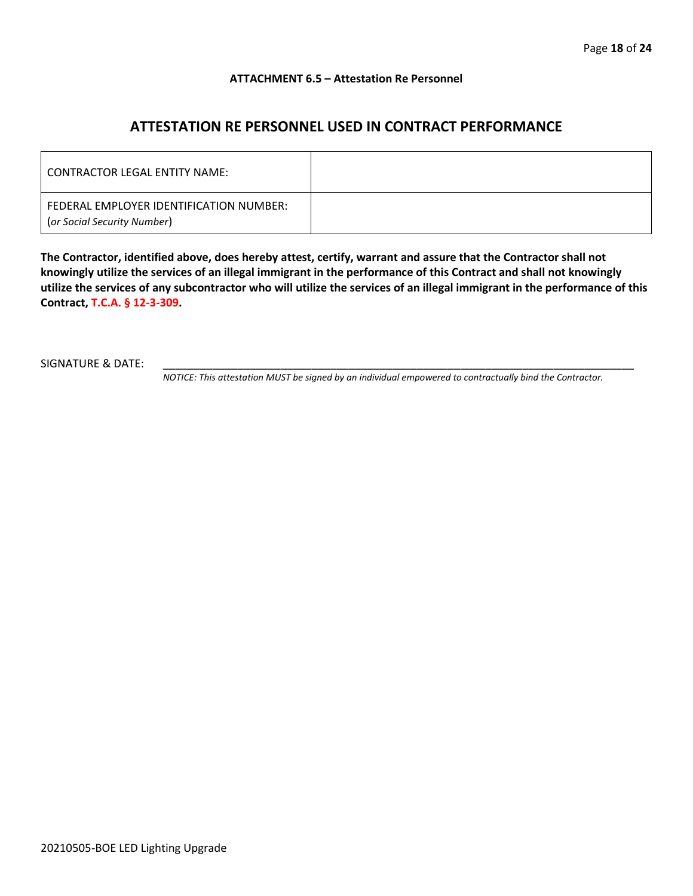#### **ATTACHMENT 6.5 – Attestation Re Personnel**

# **ATTESTATION RE PERSONNEL USED IN CONTRACT PERFORMANCE**

| CONTRACTOR LEGAL ENTITY NAME:                                          |  |
|------------------------------------------------------------------------|--|
| FEDERAL EMPLOYER IDENTIFICATION NUMBER:<br>(or Social Security Number) |  |

**The Contractor, identified above, does hereby attest, certify, warrant and assure that the Contractor shall not knowingly utilize the services of an illegal immigrant in the performance of this Contract and shall not knowingly utilize the services of any subcontractor who will utilize the services of an illegal immigrant in the performance of this Contract, T.C.A. § 12-3-309.**

SIGNATURE & DATE:

*NOTICE: This attestation MUST be signed by an individual empowered to contractually bind the Contractor.*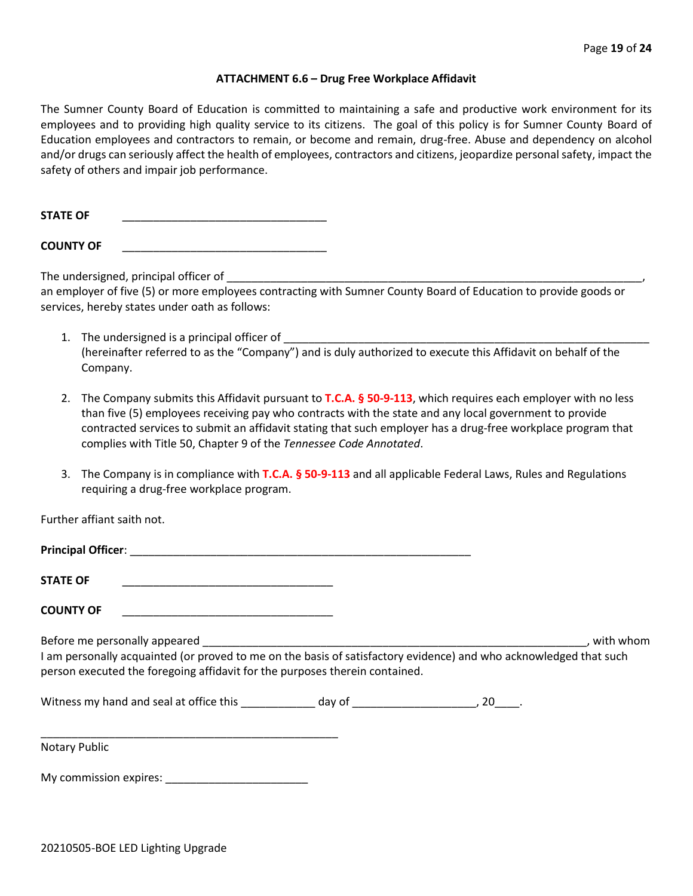#### **ATTACHMENT 6.6 – Drug Free Workplace Affidavit**

The Sumner County Board of Education is committed to maintaining a safe and productive work environment for its employees and to providing high quality service to its citizens. The goal of this policy is for Sumner County Board of Education employees and contractors to remain, or become and remain, drug-free. Abuse and dependency on alcohol and/or drugs can seriously affect the health of employees, contractors and citizens, jeopardize personal safety, impact the safety of others and impair job performance.

STATE OF

**COUNTY OF** \_\_\_\_\_\_\_\_\_\_\_\_\_\_\_\_\_\_\_\_\_\_\_\_\_\_\_\_\_\_\_\_\_

The undersigned, principal officer of

an employer of five (5) or more employees contracting with Sumner County Board of Education to provide goods or services, hereby states under oath as follows:

- 1. The undersigned is a principal officer of (hereinafter referred to as the "Company") and is duly authorized to execute this Affidavit on behalf of the Company.
- 2. The Company submits this Affidavit pursuant to **T.C.A. § 50-9-113**, which requires each employer with no less than five (5) employees receiving pay who contracts with the state and any local government to provide contracted services to submit an affidavit stating that such employer has a drug-free workplace program that complies with Title 50, Chapter 9 of the *Tennessee Code Annotated*.
- 3. The Company is in compliance with **T.C.A. § 50-9-113** and all applicable Federal Laws, Rules and Regulations requiring a drug-free workplace program.

Further affiant saith not.

| <b>Principal Officer:</b> |  |
|---------------------------|--|
|                           |  |
| <b>STATE OF</b>           |  |

**COUNTY OF** \_\_\_\_\_\_\_\_\_\_\_\_\_\_\_\_\_\_\_\_\_\_\_\_\_\_\_\_\_\_\_\_\_\_

Before me personally appeared \_\_\_\_\_\_\_\_\_\_\_\_\_\_\_\_\_\_\_\_\_\_\_\_\_\_\_\_\_\_\_\_\_\_\_\_\_\_\_\_\_\_\_\_\_\_\_\_\_\_\_\_\_\_\_\_\_\_\_\_\_\_, with whom I am personally acquainted (or proved to me on the basis of satisfactory evidence) and who acknowledged that such person executed the foregoing affidavit for the purposes therein contained.

Witness my hand and seal at office this \_\_\_\_\_\_\_\_\_\_\_\_\_ day of \_\_\_\_\_\_\_\_\_\_\_\_\_\_\_\_\_\_\_\_\_, 20\_\_\_\_.

\_\_\_\_\_\_\_\_\_\_\_\_\_\_\_\_\_\_\_\_\_\_\_\_\_\_\_\_\_\_\_\_\_\_\_\_\_\_\_\_\_\_\_\_\_\_\_\_ Notary Public

My commission expires: \_\_\_\_\_\_\_\_\_\_\_\_\_\_\_\_\_\_\_\_\_\_\_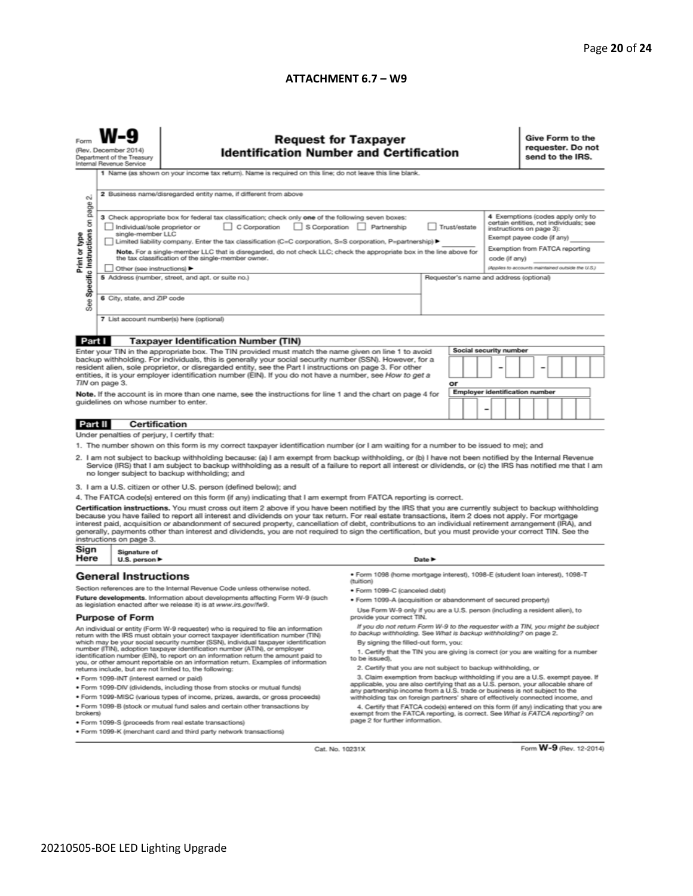#### **ATTACHMENT 6.7 – W9**

|                                                                                                                                                                                                                                                                                                                                                                                                                                                                                                                                                                                                                                                          | (Rev. December 2014)<br>Department of the Treasury<br>Internal Revenue Service                                                                                                                                                                                                                                                                                                                                                                                                                                        | <b>Request for Taxpayer</b><br><b>Identification Number and Certification</b><br>1 Name (as shown on your income tax return). Name is required on this line; do not leave this line blank.             |                                                                                                                                                               |                                                                                                                                                                                          |                                                   |                                       | Give Form to the<br>requester. Do not<br>send to the IRS. |  |
|----------------------------------------------------------------------------------------------------------------------------------------------------------------------------------------------------------------------------------------------------------------------------------------------------------------------------------------------------------------------------------------------------------------------------------------------------------------------------------------------------------------------------------------------------------------------------------------------------------------------------------------------------------|-----------------------------------------------------------------------------------------------------------------------------------------------------------------------------------------------------------------------------------------------------------------------------------------------------------------------------------------------------------------------------------------------------------------------------------------------------------------------------------------------------------------------|--------------------------------------------------------------------------------------------------------------------------------------------------------------------------------------------------------|---------------------------------------------------------------------------------------------------------------------------------------------------------------|------------------------------------------------------------------------------------------------------------------------------------------------------------------------------------------|---------------------------------------------------|---------------------------------------|-----------------------------------------------------------|--|
| σû                                                                                                                                                                                                                                                                                                                                                                                                                                                                                                                                                                                                                                                       | 2 Business name/disregarded entity name, if different from above                                                                                                                                                                                                                                                                                                                                                                                                                                                      |                                                                                                                                                                                                        |                                                                                                                                                               |                                                                                                                                                                                          |                                                   |                                       |                                                           |  |
| Specific Instructions on page<br>Print or type                                                                                                                                                                                                                                                                                                                                                                                                                                                                                                                                                                                                           | 3 Check appropriate box for federal tax classification; check only one of the following seven boxes:<br>C Corporation<br>S Corporation Partnership<br>Individual/sole proprietor or<br>Trust/estate<br>single-member LLC<br>Limited liability company. Enter the tax classification (C=C corporation, S=S corporation, P=partnership) ▶<br>Note. For a single-member LLC that is disregarded, do not check LLC; check the appropriate box in the line above for<br>the tax classification of the single-member owner. |                                                                                                                                                                                                        |                                                                                                                                                               | 4 Exemptions (codes apply only to<br>certain entities, not individuals; see<br>instructions on page 3):<br>Exempt payee code (if any)<br>Exemption from FATCA reporting<br>code (if any) |                                                   |                                       |                                                           |  |
|                                                                                                                                                                                                                                                                                                                                                                                                                                                                                                                                                                                                                                                          |                                                                                                                                                                                                                                                                                                                                                                                                                                                                                                                       | Other (see instructions) ▶                                                                                                                                                                             |                                                                                                                                                               |                                                                                                                                                                                          | (Applies to accounts maintained outside the U.S.) |                                       |                                                           |  |
|                                                                                                                                                                                                                                                                                                                                                                                                                                                                                                                                                                                                                                                          | 6 City, state, and ZIP code                                                                                                                                                                                                                                                                                                                                                                                                                                                                                           | 5 Address (number, street, and apt. or suite no.)                                                                                                                                                      | Requester's name and address (optional)                                                                                                                       |                                                                                                                                                                                          |                                                   |                                       |                                                           |  |
| See                                                                                                                                                                                                                                                                                                                                                                                                                                                                                                                                                                                                                                                      |                                                                                                                                                                                                                                                                                                                                                                                                                                                                                                                       |                                                                                                                                                                                                        |                                                                                                                                                               |                                                                                                                                                                                          |                                                   |                                       |                                                           |  |
|                                                                                                                                                                                                                                                                                                                                                                                                                                                                                                                                                                                                                                                          |                                                                                                                                                                                                                                                                                                                                                                                                                                                                                                                       | 7 List account number(s) here (optional)                                                                                                                                                               |                                                                                                                                                               |                                                                                                                                                                                          |                                                   |                                       |                                                           |  |
| Part I                                                                                                                                                                                                                                                                                                                                                                                                                                                                                                                                                                                                                                                   |                                                                                                                                                                                                                                                                                                                                                                                                                                                                                                                       | <b>Taxpayer Identification Number (TIN)</b>                                                                                                                                                            |                                                                                                                                                               |                                                                                                                                                                                          |                                                   |                                       |                                                           |  |
| Enter your TIN in the appropriate box. The TIN provided must match the name given on line 1 to avoid<br>backup withholding. For individuals, this is generally your social security number (SSN). However, for a<br>resident alien, sole proprietor, or disregarded entity, see the Part I instructions on page 3. For other<br>entities, it is your employer identification number (EIN). If you do not have a number, see How to get a<br>TIN on page 3.<br>Note. If the account is in more than one name, see the instructions for line 1 and the chart on page 4 for<br>guidelines on whose number to enter.                                         |                                                                                                                                                                                                                                                                                                                                                                                                                                                                                                                       |                                                                                                                                                                                                        |                                                                                                                                                               | or                                                                                                                                                                                       | Social security number                            | <b>Employer identification number</b> |                                                           |  |
|                                                                                                                                                                                                                                                                                                                                                                                                                                                                                                                                                                                                                                                          |                                                                                                                                                                                                                                                                                                                                                                                                                                                                                                                       |                                                                                                                                                                                                        |                                                                                                                                                               |                                                                                                                                                                                          | -                                                 |                                       |                                                           |  |
| <b>Part II</b>                                                                                                                                                                                                                                                                                                                                                                                                                                                                                                                                                                                                                                           | <b>Certification</b>                                                                                                                                                                                                                                                                                                                                                                                                                                                                                                  |                                                                                                                                                                                                        |                                                                                                                                                               |                                                                                                                                                                                          |                                                   |                                       |                                                           |  |
|                                                                                                                                                                                                                                                                                                                                                                                                                                                                                                                                                                                                                                                          | Under penalties of perjury, I certify that:                                                                                                                                                                                                                                                                                                                                                                                                                                                                           |                                                                                                                                                                                                        |                                                                                                                                                               |                                                                                                                                                                                          |                                                   |                                       |                                                           |  |
| 1. The number shown on this form is my correct taxpayer identification number (or I am waiting for a number to be issued to me); and<br>2. I am not subject to backup withholding because: (a) I am exempt from backup withholding, or (b) I have not been notified by the Internal Revenue<br>Service (IRS) that I am subject to backup withholding as a result of a failure to report all interest or dividends, or (c) the IRS has notified me that I am<br>no longer subject to backup withholding; and                                                                                                                                              |                                                                                                                                                                                                                                                                                                                                                                                                                                                                                                                       |                                                                                                                                                                                                        |                                                                                                                                                               |                                                                                                                                                                                          |                                                   |                                       |                                                           |  |
|                                                                                                                                                                                                                                                                                                                                                                                                                                                                                                                                                                                                                                                          |                                                                                                                                                                                                                                                                                                                                                                                                                                                                                                                       | 3. I am a U.S. citizen or other U.S. person (defined below); and                                                                                                                                       |                                                                                                                                                               |                                                                                                                                                                                          |                                                   |                                       |                                                           |  |
|                                                                                                                                                                                                                                                                                                                                                                                                                                                                                                                                                                                                                                                          |                                                                                                                                                                                                                                                                                                                                                                                                                                                                                                                       | 4. The FATCA code(s) entered on this form (if any) indicating that I am exempt from FATCA reporting is correct.                                                                                        |                                                                                                                                                               |                                                                                                                                                                                          |                                                   |                                       |                                                           |  |
| Certification instructions. You must cross out item 2 above if you have been notified by the IRS that you are currently subject to backup withholding<br>because you have failed to report all interest and dividends on your tax return. For real estate transactions, item 2 does not apply. For mortgage<br>interest paid, acquisition or abandonment of secured property, cancellation of debt, contributions to an individual retirement arrangement (IRA), and<br>generally, payments other than interest and dividends, you are not required to sign the certification, but you must provide your correct TIN. See the<br>instructions on page 3. |                                                                                                                                                                                                                                                                                                                                                                                                                                                                                                                       |                                                                                                                                                                                                        |                                                                                                                                                               |                                                                                                                                                                                          |                                                   |                                       |                                                           |  |
| Sign<br>Here                                                                                                                                                                                                                                                                                                                                                                                                                                                                                                                                                                                                                                             | Signature of<br>U.S. person $\blacktriangleright$                                                                                                                                                                                                                                                                                                                                                                                                                                                                     |                                                                                                                                                                                                        | Date $\blacktriangleright$                                                                                                                                    |                                                                                                                                                                                          |                                                   |                                       |                                                           |  |
|                                                                                                                                                                                                                                                                                                                                                                                                                                                                                                                                                                                                                                                          | <b>General Instructions</b>                                                                                                                                                                                                                                                                                                                                                                                                                                                                                           |                                                                                                                                                                                                        | · Form 1098 (home mortgage interest), 1098-E (student Ioan interest), 1098-T<br>(tuition)                                                                     |                                                                                                                                                                                          |                                                   |                                       |                                                           |  |
|                                                                                                                                                                                                                                                                                                                                                                                                                                                                                                                                                                                                                                                          |                                                                                                                                                                                                                                                                                                                                                                                                                                                                                                                       | Section references are to the Internal Revenue Code unless otherwise noted.                                                                                                                            | · Form 1099-C (canceled debt)                                                                                                                                 |                                                                                                                                                                                          |                                                   |                                       |                                                           |  |
|                                                                                                                                                                                                                                                                                                                                                                                                                                                                                                                                                                                                                                                          |                                                                                                                                                                                                                                                                                                                                                                                                                                                                                                                       | Future developments. Information about developments affecting Form W-9 (such                                                                                                                           | . Form 1099-A (acquisition or abandonment of secured property)                                                                                                |                                                                                                                                                                                          |                                                   |                                       |                                                           |  |
| as legislation enacted after we release it) is at www.irs.gov/fw9.<br><b>Purpose of Form</b>                                                                                                                                                                                                                                                                                                                                                                                                                                                                                                                                                             |                                                                                                                                                                                                                                                                                                                                                                                                                                                                                                                       | Use Form W-9 only if you are a U.S. person (including a resident alien), to<br>provide your correct TIN.                                                                                               |                                                                                                                                                               |                                                                                                                                                                                          |                                                   |                                       |                                                           |  |
| An individual or entity (Form W-9 requester) who is required to file an information                                                                                                                                                                                                                                                                                                                                                                                                                                                                                                                                                                      |                                                                                                                                                                                                                                                                                                                                                                                                                                                                                                                       | If you do not return Form W-9 to the requester with a TIN, you might be subject<br>to backup withholding. See What is backup withholding? on page 2.                                                   |                                                                                                                                                               |                                                                                                                                                                                          |                                                   |                                       |                                                           |  |
|                                                                                                                                                                                                                                                                                                                                                                                                                                                                                                                                                                                                                                                          |                                                                                                                                                                                                                                                                                                                                                                                                                                                                                                                       | return with the IRS must obtain your correct taxpayer identification number (TIN)<br>which may be your social security number (SSN), individual taxpayer identification                                | By signing the filled-out form, you:                                                                                                                          |                                                                                                                                                                                          |                                                   |                                       |                                                           |  |
| number (ITIN), adoption taxpayer identification number (ATIN), or employer<br>identification number (EIN), to report on an information return the amount paid to<br>you, or other amount reportable on an information return. Examples of information<br>returns include, but are not limited to, the following:                                                                                                                                                                                                                                                                                                                                         |                                                                                                                                                                                                                                                                                                                                                                                                                                                                                                                       | 1. Certify that the TIN you are giving is correct (or you are waiting for a number<br>to be issued).<br>2. Certify that you are not subject to backup withholding, or                                  |                                                                                                                                                               |                                                                                                                                                                                          |                                                   |                                       |                                                           |  |
|                                                                                                                                                                                                                                                                                                                                                                                                                                                                                                                                                                                                                                                          | · Form 1099-INT (interest earned or paid)                                                                                                                                                                                                                                                                                                                                                                                                                                                                             |                                                                                                                                                                                                        | 3. Claim exemption from backup withholding if you are a U.S. exempt payee. If                                                                                 |                                                                                                                                                                                          |                                                   |                                       |                                                           |  |
|                                                                                                                                                                                                                                                                                                                                                                                                                                                                                                                                                                                                                                                          |                                                                                                                                                                                                                                                                                                                                                                                                                                                                                                                       | . Form 1099-DIV (dividends, including those from stocks or mutual funds)                                                                                                                               | applicable, you are also certifying that as a U.S. person, your allocable share of                                                                            |                                                                                                                                                                                          |                                                   |                                       |                                                           |  |
|                                                                                                                                                                                                                                                                                                                                                                                                                                                                                                                                                                                                                                                          |                                                                                                                                                                                                                                                                                                                                                                                                                                                                                                                       | . Form 1099-MISC (various types of income, prizes, awards, or gross proceeds)                                                                                                                          | any partnership income from a U.S. trade or business is not subject to the<br>withholding tax on foreign partners' share of effectively connected income, and |                                                                                                                                                                                          |                                                   |                                       |                                                           |  |
| . Form 1099-B (stock or mutual fund sales and certain other transactions by<br>brokers)                                                                                                                                                                                                                                                                                                                                                                                                                                                                                                                                                                  |                                                                                                                                                                                                                                                                                                                                                                                                                                                                                                                       | 4. Certify that FATCA code(s) entered on this form (if any) indicating that you are<br>exempt from the FATCA reporting, is correct. See What is FATCA reporting? on<br>page 2 for further information. |                                                                                                                                                               |                                                                                                                                                                                          |                                                   |                                       |                                                           |  |
| · Form 1099-S (proceeds from real estate transactions)<br>. Form 1099-K (merchant card and third party network transactions)                                                                                                                                                                                                                                                                                                                                                                                                                                                                                                                             |                                                                                                                                                                                                                                                                                                                                                                                                                                                                                                                       |                                                                                                                                                                                                        |                                                                                                                                                               |                                                                                                                                                                                          |                                                   |                                       |                                                           |  |

Cat. No. 10231X

Form **W-9** (Rev. 12-2014)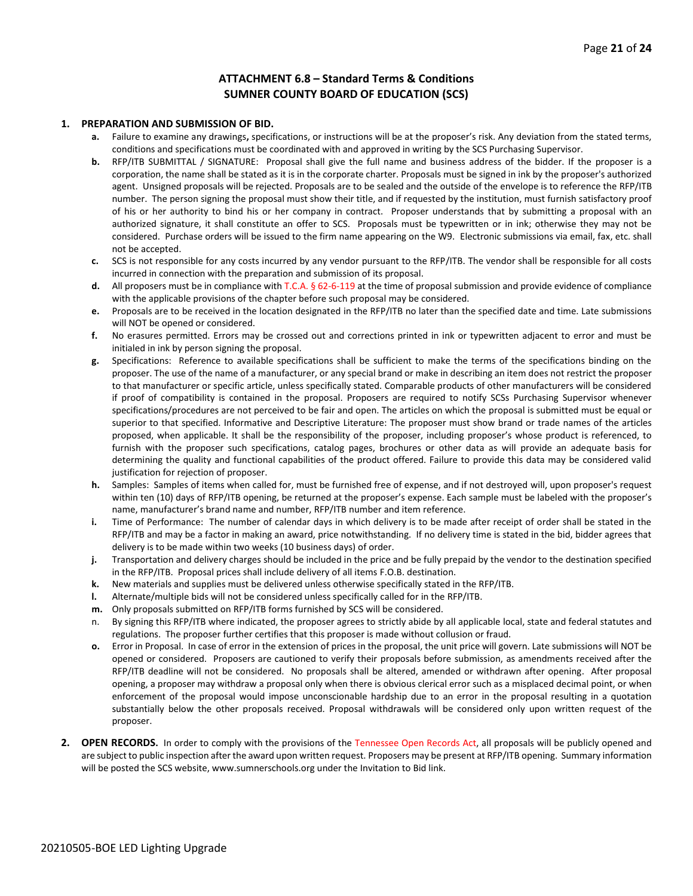#### **ATTACHMENT 6.8 – Standard Terms & Conditions SUMNER COUNTY BOARD OF EDUCATION (SCS)**

#### **1. PREPARATION AND SUBMISSION OF BID.**

- **a.** Failure to examine any drawings**,** specifications, or instructions will be at the proposer's risk. Any deviation from the stated terms, conditions and specifications must be coordinated with and approved in writing by the SCS Purchasing Supervisor.
- **b.** RFP/ITB SUBMITTAL / SIGNATURE: Proposal shall give the full name and business address of the bidder. If the proposer is a corporation, the name shall be stated as it is in the corporate charter. Proposals must be signed in ink by the proposer's authorized agent. Unsigned proposals will be rejected. Proposals are to be sealed and the outside of the envelope is to reference the RFP/ITB number. The person signing the proposal must show their title, and if requested by the institution, must furnish satisfactory proof of his or her authority to bind his or her company in contract. Proposer understands that by submitting a proposal with an authorized signature, it shall constitute an offer to SCS. Proposals must be typewritten or in ink; otherwise they may not be considered. Purchase orders will be issued to the firm name appearing on the W9. Electronic submissions via email, fax, etc. shall not be accepted.
- **c.** SCS is not responsible for any costs incurred by any vendor pursuant to the RFP/ITB. The vendor shall be responsible for all costs incurred in connection with the preparation and submission of its proposal.
- **d.** All proposers must be in compliance with T.C.A. § 62-6-119 at the time of proposal submission and provide evidence of compliance with the applicable provisions of the chapter before such proposal may be considered.
- **e.** Proposals are to be received in the location designated in the RFP/ITB no later than the specified date and time. Late submissions will NOT be opened or considered.
- **f.** No erasures permitted. Errors may be crossed out and corrections printed in ink or typewritten adjacent to error and must be initialed in ink by person signing the proposal.
- **g.** Specifications: Reference to available specifications shall be sufficient to make the terms of the specifications binding on the proposer. The use of the name of a manufacturer, or any special brand or make in describing an item does not restrict the proposer to that manufacturer or specific article, unless specifically stated. Comparable products of other manufacturers will be considered if proof of compatibility is contained in the proposal. Proposers are required to notify SCSs Purchasing Supervisor whenever specifications/procedures are not perceived to be fair and open. The articles on which the proposal is submitted must be equal or superior to that specified. Informative and Descriptive Literature: The proposer must show brand or trade names of the articles proposed, when applicable. It shall be the responsibility of the proposer, including proposer's whose product is referenced, to furnish with the proposer such specifications, catalog pages, brochures or other data as will provide an adequate basis for determining the quality and functional capabilities of the product offered. Failure to provide this data may be considered valid justification for rejection of proposer.
- **h.** Samples: Samples of items when called for, must be furnished free of expense, and if not destroyed will, upon proposer's request within ten (10) days of RFP/ITB opening, be returned at the proposer's expense. Each sample must be labeled with the proposer's name, manufacturer's brand name and number, RFP/ITB number and item reference.
- **i.** Time of Performance: The number of calendar days in which delivery is to be made after receipt of order shall be stated in the RFP/ITB and may be a factor in making an award, price notwithstanding. If no delivery time is stated in the bid, bidder agrees that delivery is to be made within two weeks (10 business days) of order.
- **j.** Transportation and delivery charges should be included in the price and be fully prepaid by the vendor to the destination specified in the RFP/ITB. Proposal prices shall include delivery of all items F.O.B. destination.
- **k.** New materials and supplies must be delivered unless otherwise specifically stated in the RFP/ITB.
- **l.** Alternate/multiple bids will not be considered unless specifically called for in the RFP/ITB.
- **m.** Only proposals submitted on RFP/ITB forms furnished by SCS will be considered.
- n. By signing this RFP/ITB where indicated, the proposer agrees to strictly abide by all applicable local, state and federal statutes and regulations. The proposer further certifies that this proposer is made without collusion or fraud.
- **o.** Error in Proposal. In case of error in the extension of prices in the proposal, the unit price will govern. Late submissions will NOT be opened or considered. Proposers are cautioned to verify their proposals before submission, as amendments received after the RFP/ITB deadline will not be considered. No proposals shall be altered, amended or withdrawn after opening. After proposal opening, a proposer may withdraw a proposal only when there is obvious clerical error such as a misplaced decimal point, or when enforcement of the proposal would impose unconscionable hardship due to an error in the proposal resulting in a quotation substantially below the other proposals received. Proposal withdrawals will be considered only upon written request of the proposer.
- **2. OPEN RECORDS.** In order to comply with the provisions of the Tennessee Open Records Act, all proposals will be publicly opened and are subject to public inspection after the award upon written request. Proposers may be present at RFP/ITB opening. Summary information will be posted the SCS website, www.sumnerschools.org under the Invitation to Bid link.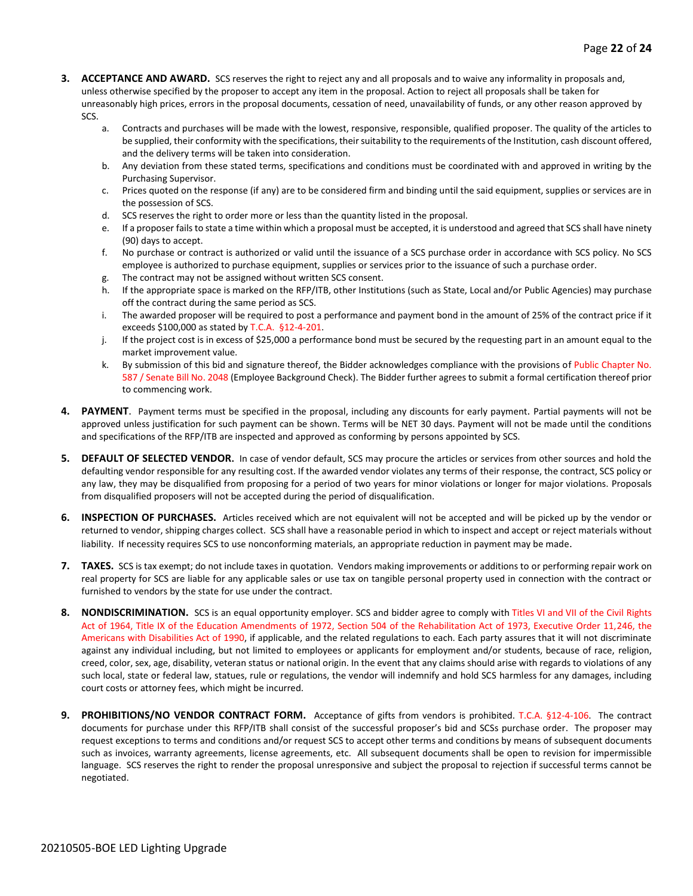- **3. ACCEPTANCE AND AWARD.** SCS reserves the right to reject any and all proposals and to waive any informality in proposals and, unless otherwise specified by the proposer to accept any item in the proposal. Action to reject all proposals shall be taken for unreasonably high prices, errors in the proposal documents, cessation of need, unavailability of funds, or any other reason approved by SCS.
	- a. Contracts and purchases will be made with the lowest, responsive, responsible, qualified proposer. The quality of the articles to be supplied, their conformity with the specifications, their suitability to the requirements of the Institution, cash discount offered, and the delivery terms will be taken into consideration.
	- b. Any deviation from these stated terms, specifications and conditions must be coordinated with and approved in writing by the Purchasing Supervisor.
	- c. Prices quoted on the response (if any) are to be considered firm and binding until the said equipment, supplies or services are in the possession of SCS.
	- d. SCS reserves the right to order more or less than the quantity listed in the proposal.
	- e. If a proposer fails to state a time within which a proposal must be accepted, it is understood and agreed that SCS shall have ninety (90) days to accept.
	- f. No purchase or contract is authorized or valid until the issuance of a SCS purchase order in accordance with SCS policy. No SCS employee is authorized to purchase equipment, supplies or services prior to the issuance of such a purchase order.
	- g. The contract may not be assigned without written SCS consent.
	- h. If the appropriate space is marked on the RFP/ITB, other Institutions (such as State, Local and/or Public Agencies) may purchase off the contract during the same period as SCS.
	- i. The awarded proposer will be required to post a performance and payment bond in the amount of 25% of the contract price if it exceeds \$100,000 as stated by T.C.A. §12-4-201.
	- j. If the project cost is in excess of \$25,000 a performance bond must be secured by the requesting part in an amount equal to the market improvement value.
	- k. By submission of this bid and signature thereof, the Bidder acknowledges compliance with the provisions of Public Chapter No. 587 / Senate Bill No. 2048 (Employee Background Check). The Bidder further agrees to submit a formal certification thereof prior to commencing work.
- **4. PAYMENT**. Payment terms must be specified in the proposal, including any discounts for early payment. Partial payments will not be approved unless justification for such payment can be shown. Terms will be NET 30 days. Payment will not be made until the conditions and specifications of the RFP/ITB are inspected and approved as conforming by persons appointed by SCS.
- **5. DEFAULT OF SELECTED VENDOR.** In case of vendor default, SCS may procure the articles or services from other sources and hold the defaulting vendor responsible for any resulting cost. If the awarded vendor violates any terms of their response, the contract, SCS policy or any law, they may be disqualified from proposing for a period of two years for minor violations or longer for major violations. Proposals from disqualified proposers will not be accepted during the period of disqualification.
- **6. INSPECTION OF PURCHASES.** Articles received which are not equivalent will not be accepted and will be picked up by the vendor or returned to vendor, shipping charges collect. SCS shall have a reasonable period in which to inspect and accept or reject materials without liability. If necessity requires SCS to use nonconforming materials, an appropriate reduction in payment may be made.
- **7. TAXES.** SCS is tax exempt; do not include taxes in quotation. Vendors making improvements or additions to or performing repair work on real property for SCS are liable for any applicable sales or use tax on tangible personal property used in connection with the contract or furnished to vendors by the state for use under the contract.
- **8. NONDISCRIMINATION.** SCS is an equal opportunity employer. SCS and bidder agree to comply with Titles VI and VII of the Civil Rights Act of 1964, Title IX of the Education Amendments of 1972, Section 504 of the Rehabilitation Act of 1973, Executive Order 11,246, the Americans with Disabilities Act of 1990, if applicable, and the related regulations to each. Each party assures that it will not discriminate against any individual including, but not limited to employees or applicants for employment and/or students, because of race, religion, creed, color, sex, age, disability, veteran status or national origin. In the event that any claims should arise with regards to violations of any such local, state or federal law, statues, rule or regulations, the vendor will indemnify and hold SCS harmless for any damages, including court costs or attorney fees, which might be incurred.
- **9. PROHIBITIONS/NO VENDOR CONTRACT FORM.** Acceptance of gifts from vendors is prohibited. T.C.A. §12-4-106. The contract documents for purchase under this RFP/ITB shall consist of the successful proposer's bid and SCSs purchase order. The proposer may request exceptions to terms and conditions and/or request SCS to accept other terms and conditions by means of subsequent documents such as invoices, warranty agreements, license agreements, etc. All subsequent documents shall be open to revision for impermissible language. SCS reserves the right to render the proposal unresponsive and subject the proposal to rejection if successful terms cannot be negotiated.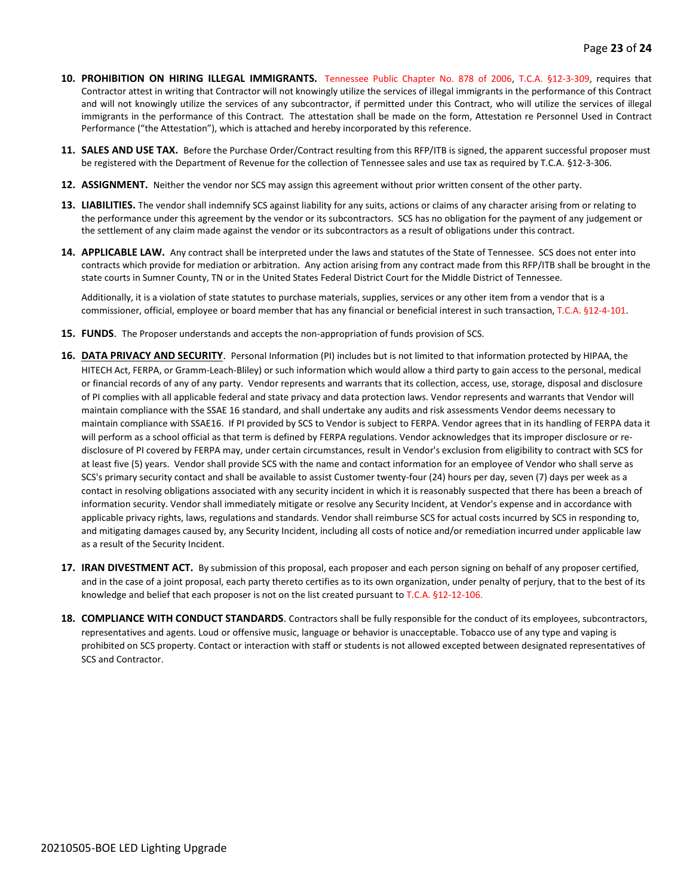- **10. PROHIBITION ON HIRING ILLEGAL IMMIGRANTS.** Tennessee Public Chapter No. 878 of 2006, T.C.A. §12-3-309, requires that Contractor attest in writing that Contractor will not knowingly utilize the services of illegal immigrants in the performance of this Contract and will not knowingly utilize the services of any subcontractor, if permitted under this Contract, who will utilize the services of illegal immigrants in the performance of this Contract. The attestation shall be made on the form, Attestation re Personnel Used in Contract Performance ("the Attestation"), which is attached and hereby incorporated by this reference.
- **11. SALES AND USE TAX.** Before the Purchase Order/Contract resulting from this RFP/ITB is signed, the apparent successful proposer must be registered with the Department of Revenue for the collection of Tennessee sales and use tax as required by T.C.A. §12-3-306.
- **12. ASSIGNMENT.** Neither the vendor nor SCS may assign this agreement without prior written consent of the other party.
- **13. LIABILITIES.** The vendor shall indemnify SCS against liability for any suits, actions or claims of any character arising from or relating to the performance under this agreement by the vendor or its subcontractors. SCS has no obligation for the payment of any judgement or the settlement of any claim made against the vendor or its subcontractors as a result of obligations under this contract.
- **14. APPLICABLE LAW.** Any contract shall be interpreted under the laws and statutes of the State of Tennessee. SCS does not enter into contracts which provide for mediation or arbitration. Any action arising from any contract made from this RFP/ITB shall be brought in the state courts in Sumner County, TN or in the United States Federal District Court for the Middle District of Tennessee.

Additionally, it is a violation of state statutes to purchase materials, supplies, services or any other item from a vendor that is a commissioner, official, employee or board member that has any financial or beneficial interest in such transaction, T.C.A. §12-4-101.

- **15. FUNDS**. The Proposer understands and accepts the non-appropriation of funds provision of SCS.
- **16. DATA PRIVACY AND SECURITY**. Personal Information (PI) includes but is not limited to that information protected by HIPAA, the HITECH Act, FERPA, or Gramm-Leach-Bliley) or such information which would allow a third party to gain access to the personal, medical or financial records of any of any party. Vendor represents and warrants that its collection, access, use, storage, disposal and disclosure of PI complies with all applicable federal and state privacy and data protection laws. Vendor represents and warrants that Vendor will maintain compliance with the SSAE 16 standard, and shall undertake any audits and risk assessments Vendor deems necessary to maintain compliance with SSAE16. If PI provided by SCS to Vendor is subject to FERPA. Vendor agrees that in its handling of FERPA data it will perform as a school official as that term is defined by FERPA regulations. Vendor acknowledges that its improper disclosure or redisclosure of PI covered by FERPA may, under certain circumstances, result in Vendor's exclusion from eligibility to contract with SCS for at least five (5) years. Vendor shall provide SCS with the name and contact information for an employee of Vendor who shall serve as SCS's primary security contact and shall be available to assist Customer twenty-four (24) hours per day, seven (7) days per week as a contact in resolving obligations associated with any security incident in which it is reasonably suspected that there has been a breach of information security. Vendor shall immediately mitigate or resolve any Security Incident, at Vendor's expense and in accordance with applicable privacy rights, laws, regulations and standards. Vendor shall reimburse SCS for actual costs incurred by SCS in responding to, and mitigating damages caused by, any Security Incident, including all costs of notice and/or remediation incurred under applicable law as a result of the Security Incident.
- **17. IRAN DIVESTMENT ACT.** By submission of this proposal, each proposer and each person signing on behalf of any proposer certified, and in the case of a joint proposal, each party thereto certifies as to its own organization, under penalty of perjury, that to the best of its knowledge and belief that each proposer is not on the list created pursuant to T.C.A. §12-12-106.
- **18. COMPLIANCE WITH CONDUCT STANDARDS**. Contractors shall be fully responsible for the conduct of its employees, subcontractors, representatives and agents. Loud or offensive music, language or behavior is unacceptable. Tobacco use of any type and vaping is prohibited on SCS property. Contact or interaction with staff or students is not allowed excepted between designated representatives of SCS and Contractor.